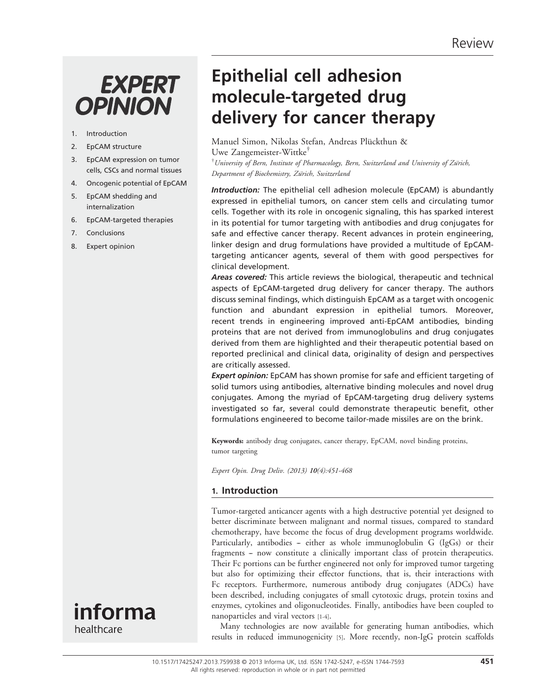# **EXPERT OPINION**

- 1. Introduction
- 2. EpCAM structure
- 3. EpCAM expression on tumor cells, CSCs and normal tissues
- 4. Oncogenic potential of EpCAM
- 5. EpCAM shedding and internalization

informa

healthcare

- 6. EpCAM-targeted therapies
- 7. Conclusions
- 8. Expert opinion



Manuel Simon, Nikolas Stefan, Andreas Plückthun & Uwe Zangemeister-Wittke†  $^\dagger$ University of Bern, Institute of Pharmacology, Bern, Switzerland and University of Zürich,

Department of Biochemistry, Zürich, Switzerland

Introduction: The epithelial cell adhesion molecule (EpCAM) is abundantly expressed in epithelial tumors, on cancer stem cells and circulating tumor cells. Together with its role in oncogenic signaling, this has sparked interest in its potential for tumor targeting with antibodies and drug conjugates for safe and effective cancer therapy. Recent advances in protein engineering, linker design and drug formulations have provided a multitude of EpCAMtargeting anticancer agents, several of them with good perspectives for clinical development.

Areas covered: This article reviews the biological, therapeutic and technical aspects of EpCAM-targeted drug delivery for cancer therapy. The authors discuss seminal findings, which distinguish EpCAM as a target with oncogenic function and abundant expression in epithelial tumors. Moreover, recent trends in engineering improved anti-EpCAM antibodies, binding proteins that are not derived from immunoglobulins and drug conjugates derived from them are highlighted and their therapeutic potential based on reported preclinical and clinical data, originality of design and perspectives are critically assessed.

Expert opinion: EpCAM has shown promise for safe and efficient targeting of solid tumors using antibodies, alternative binding molecules and novel drug conjugates. Among the myriad of EpCAM-targeting drug delivery systems investigated so far, several could demonstrate therapeutic benefit, other formulations engineered to become tailor-made missiles are on the brink.

Keywords: antibody drug conjugates, cancer therapy, EpCAM, novel binding proteins, tumor targeting

Expert Opin. Drug Deliv. (2013) 10(4):451-468

# 1. Introduction

Tumor-targeted anticancer agents with a high destructive potential yet designed to better discriminate between malignant and normal tissues, compared to standard chemotherapy, have become the focus of drug development programs worldwide. Particularly, antibodies -- either as whole immunoglobulin G (IgGs) or their fragments - now constitute a clinically important class of protein therapeutics. Their Fc portions can be further engineered not only for improved tumor targeting but also for optimizing their effector functions, that is, their interactions with Fc receptors. Furthermore, numerous antibody drug conjugates (ADCs) have been described, including conjugates of small cytotoxic drugs, protein toxins and enzymes, cytokines and oligonucleotides. Finally, antibodies have been coupled to nanoparticles and viral vectors [1-4].

Many technologies are now available for generating human antibodies, which results in reduced immunogenicity [5]. More recently, non-IgG protein scaffolds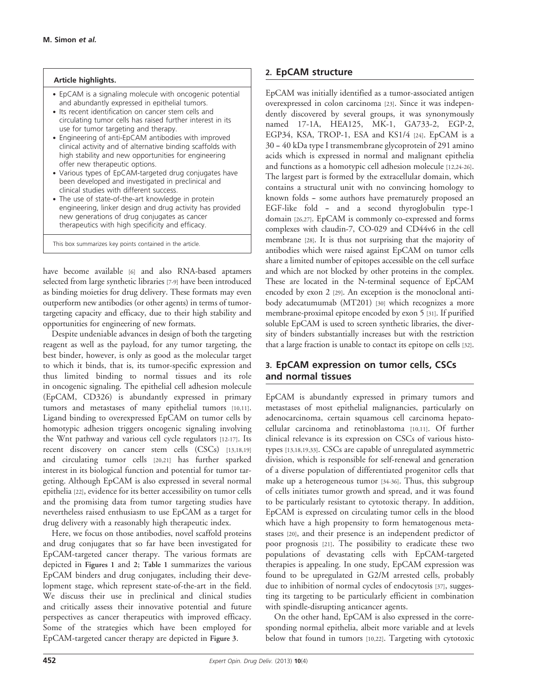#### Article highlights.

- . EpCAM is a signaling molecule with oncogenic potential and abundantly expressed in epithelial tumors.
- . Its recent identification on cancer stem cells and circulating tumor cells has raised further interest in its use for tumor targeting and therapy.
- . Engineering of anti-EpCAM antibodies with improved clinical activity and of alternative binding scaffolds with high stability and new opportunities for engineering offer new therapeutic options.
- . Various types of EpCAM-targeted drug conjugates have been developed and investigated in preclinical and clinical studies with different success.
- . The use of state-of-the-art knowledge in protein engineering, linker design and drug activity has provided new generations of drug conjugates as cancer therapeutics with high specificity and efficacy.

This box summarizes key points contained in the article.

have become available [6] and also RNA-based aptamers selected from large synthetic libraries [7-9] have been introduced as binding moieties for drug delivery. These formats may even outperform new antibodies (or other agents) in terms of tumortargeting capacity and efficacy, due to their high stability and opportunities for engineering of new formats.

Despite undeniable advances in design of both the targeting reagent as well as the payload, for any tumor targeting, the best binder, however, is only as good as the molecular target to which it binds, that is, its tumor-specific expression and thus limited binding to normal tissues and its role in oncogenic signaling. The epithelial cell adhesion molecule (EpCAM, CD326) is abundantly expressed in primary tumors and metastases of many epithelial tumors [10,11]. Ligand binding to overexpressed EpCAM on tumor cells by homotypic adhesion triggers oncogenic signaling involving the Wnt pathway and various cell cycle regulators [12-17]. Its recent discovery on cancer stem cells (CSCs) [13,18,19] and circulating tumor cells [20,21] has further sparked interest in its biological function and potential for tumor targeting. Although EpCAM is also expressed in several normal epithelia [22], evidence for its better accessibility on tumor cells and the promising data from tumor targeting studies have nevertheless raised enthusiasm to use EpCAM as a target for drug delivery with a reasonably high therapeutic index.

Here, we focus on those antibodies, novel scaffold proteins and drug conjugates that so far have been investigated for EpCAM-targeted cancer therapy. The various formats are depicted in Figures 1 and <sup>2</sup>; Table 1 summarizes the various EpCAM binders and drug conjugates, including their development stage, which represent state-of-the-art in the field. We discuss their use in preclinical and clinical studies and critically assess their innovative potential and future perspectives as cancer therapeutics with improved efficacy. Some of the strategies which have been employed for EpCAM-targeted cancer therapy are depicted in Figure 3.

### 2. EpCAM structure

EpCAM was initially identified as a tumor-associated antigen overexpressed in colon carcinoma [23]. Since it was independently discovered by several groups, it was synonymously named 17-1A, HEA125, MK-1, GA733-2, EGP-2, EGP34, KSA, TROP-1, ESA and KS1/4 [24]. EpCAM is a 30 – 40 kDa type I transmembrane glycoprotein of 291 amino acids which is expressed in normal and malignant epithelia and functions as a homotypic cell adhesion molecule [12,24-26]. The largest part is formed by the extracellular domain, which contains a structural unit with no convincing homology to known folds - some authors have prematurely proposed an EGF-like fold  $-$  and a second thyroglobulin type-1 domain [26,27]. EpCAM is commonly co-expressed and forms complexes with claudin-7, CO-029 and CD44v6 in the cell membrane [28]. It is thus not surprising that the majority of antibodies which were raised against EpCAM on tumor cells share a limited number of epitopes accessible on the cell surface and which are not blocked by other proteins in the complex. These are located in the N-terminal sequence of EpCAM encoded by exon 2 [29]. An exception is the monoclonal antibody adecatumumab (MT201) [30] which recognizes a more membrane-proximal epitope encoded by exon 5 [31]. If purified soluble EpCAM is used to screen synthetic libraries, the diversity of binders substantially increases but with the restriction that a large fraction is unable to contact its epitope on cells [32].

# 3. EpCAM expression on tumor cells, CSCs and normal tissues

EpCAM is abundantly expressed in primary tumors and metastases of most epithelial malignancies, particularly on adenocarcinoma, certain squamous cell carcinoma hepatocellular carcinoma and retinoblastoma [10,11]. Of further clinical relevance is its expression on CSCs of various histotypes [13,18,19,33]. CSCs are capable of unregulated asymmetric division, which is responsible for self-renewal and generation of a diverse population of differentiated progenitor cells that make up a heterogeneous tumor [34-36]. Thus, this subgroup of cells initiates tumor growth and spread, and it was found to be particularly resistant to cytotoxic therapy. In addition, EpCAM is expressed on circulating tumor cells in the blood which have a high propensity to form hematogenous metastases [20], and their presence is an independent predictor of poor prognosis [21]. The possibility to eradicate these two populations of devastating cells with EpCAM-targeted therapies is appealing. In one study, EpCAM expression was found to be upregulated in G2/M arrested cells, probably due to inhibition of normal cycles of endocytosis [37], suggesting its targeting to be particularly efficient in combination with spindle-disrupting anticancer agents.

On the other hand, EpCAM is also expressed in the corresponding normal epithelia, albeit more variable and at levels below that found in tumors [10,22]. Targeting with cytotoxic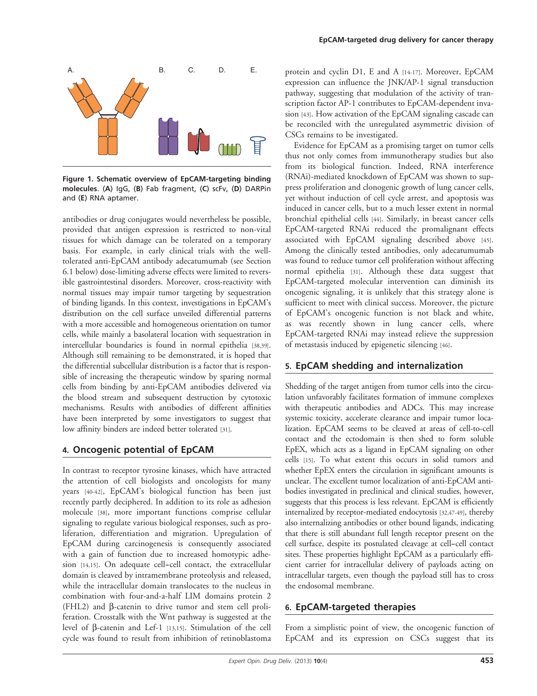

Figure 1. Schematic overview of EpCAM-targeting binding molecules. (A) IgG, (B) Fab fragment, (C) scFv, (D) DARPin and (E) RNA aptamer.

antibodies or drug conjugates would nevertheless be possible, provided that antigen expression is restricted to non-vital tissues for which damage can be tolerated on a temporary basis. For example, in early clinical trials with the welltolerated anti-EpCAM antibody adecatumumab (see Section 6.1 below) dose-limiting adverse effects were limited to reversible gastrointestinal disorders. Moreover, cross-reactivity with normal tissues may impair tumor targeting by sequestration of binding ligands. In this context, investigations in EpCAM's distribution on the cell surface unveiled differential patterns with a more accessible and homogeneous orientation on tumor cells, while mainly a basolateral location with sequestration in intercellular boundaries is found in normal epithelia [38,39]. Although still remaining to be demonstrated, it is hoped that the differential subcellular distribution is a factor that is responsible of increasing the therapeutic window by sparing normal cells from binding by anti-EpCAM antibodies delivered via the blood stream and subsequent destruction by cytotoxic mechanisms. Results with antibodies of different affinities have been interpreted by some investigators to suggest that low affinity binders are indeed better tolerated [31].

# 4. Oncogenic potential of EpCAM

In contrast to receptor tyrosine kinases, which have attracted the attention of cell biologists and oncologists for many years [40-42], EpCAM's biological function has been just recently partly deciphered. In addition to its role as adhesion molecule [38], more important functions comprise cellular signaling to regulate various biological responses, such as proliferation, differentiation and migration. Upregulation of EpCAM during carcinogenesis is consequently associated with a gain of function due to increased homotypic adhesion [14,15]. On adequate cell-cell contact, the extracellular domain is cleaved by intramembrane proteolysis and released, while the intracellular domain translocates to the nucleus in combination with four-and-a-half LIM domains protein 2 (FHL2) and  $\beta$ -catenin to drive tumor and stem cell proliferation. Crosstalk with the Wnt pathway is suggested at the level of b-catenin and Lef-1 [13,15]. Stimulation of the cell cycle was found to result from inhibition of retinoblastoma

protein and cyclin D1, E and A [14-17]. Moreover, EpCAM expression can influence the JNK/AP-1 signal transduction pathway, suggesting that modulation of the activity of transcription factor AP-1 contributes to EpCAM-dependent invasion [43]. How activation of the EpCAM signaling cascade can be reconciled with the unregulated asymmetric division of CSCs remains to be investigated.

Evidence for EpCAM as a promising target on tumor cells thus not only comes from immunotherapy studies but also from its biological function. Indeed, RNA interference (RNAi)-mediated knockdown of EpCAM was shown to suppress proliferation and clonogenic growth of lung cancer cells, yet without induction of cell cycle arrest, and apoptosis was induced in cancer cells, but to a much lesser extent in normal bronchial epithelial cells [44]. Similarly, in breast cancer cells EpCAM-targeted RNAi reduced the promalignant effects associated with EpCAM signaling described above [45]. Among the clinically tested antibodies, only adecatumumab was found to reduce tumor cell proliferation without affecting normal epithelia [31]. Although these data suggest that EpCAM-targeted molecular intervention can diminish its oncogenic signaling, it is unlikely that this strategy alone is sufficient to meet with clinical success. Moreover, the picture of EpCAM's oncogenic function is not black and white, as was recently shown in lung cancer cells, where EpCAM-targeted RNAi may instead relieve the suppression of metastasis induced by epigenetic silencing [46].

# 5. EpCAM shedding and internalization

Shedding of the target antigen from tumor cells into the circulation unfavorably facilitates formation of immune complexes with therapeutic antibodies and ADCs. This may increase systemic toxicity, accelerate clearance and impair tumor localization. EpCAM seems to be cleaved at areas of cell-to-cell contact and the ectodomain is then shed to form soluble EpEX, which acts as a ligand in EpCAM signaling on other cells [15]. To what extent this occurs in solid tumors and whether EpEX enters the circulation in significant amounts is unclear. The excellent tumor localization of anti-EpCAM antibodies investigated in preclinical and clinical studies, however, suggests that this process is less relevant. EpCAM is efficiently internalized by receptor-mediated endocytosis [32,47-49], thereby also internalizing antibodies or other bound ligands, indicating that there is still abundant full length receptor present on the cell surface, despite its postulated cleavage at cell-cell contact sites. These properties highlight EpCAM as a particularly efficient carrier for intracellular delivery of payloads acting on intracellular targets, even though the payload still has to cross the endosomal membrane.

# 6. EpCAM-targeted therapies

From a simplistic point of view, the oncogenic function of EpCAM and its expression on CSCs suggest that its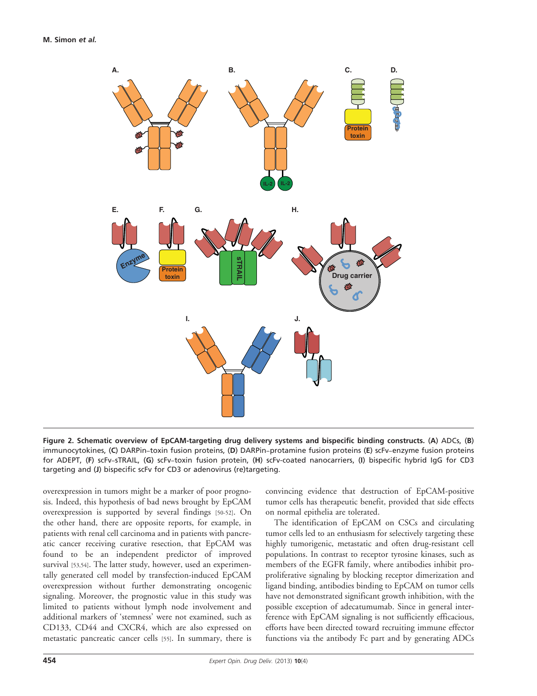

Figure 2. Schematic overview of EpCAM-targeting drug delivery systems and bispecific binding constructs. (A) ADCs, (B) immunocytokines, (C) DARPin-toxin fusion proteins, (D) DARPin-protamine fusion proteins (E) scFv-enzyme fusion proteins for ADEPT, (F) scFv--sTRAIL, (G) scFv--toxin fusion protein, (H) scFv-coated nanocarriers, (I) bispecific hybrid IgG for CD3 targeting and (J) bispecific scFv for CD3 or adenovirus (re)targeting.

overexpression in tumors might be a marker of poor prognosis. Indeed, this hypothesis of bad news brought by EpCAM overexpression is supported by several findings [50-52]. On the other hand, there are opposite reports, for example, in patients with renal cell carcinoma and in patients with pancreatic cancer receiving curative resection, that EpCAM was found to be an independent predictor of improved survival [53,54]. The latter study, however, used an experimentally generated cell model by transfection-induced EpCAM overexpression without further demonstrating oncogenic signaling. Moreover, the prognostic value in this study was limited to patients without lymph node involvement and additional markers of 'stemness' were not examined, such as CD133, CD44 and CXCR4, which are also expressed on metastatic pancreatic cancer cells [55]. In summary, there is

convincing evidence that destruction of EpCAM-positive tumor cells has therapeutic benefit, provided that side effects on normal epithelia are tolerated.

The identification of EpCAM on CSCs and circulating tumor cells led to an enthusiasm for selectively targeting these highly tumorigenic, metastatic and often drug-resistant cell populations. In contrast to receptor tyrosine kinases, such as members of the EGFR family, where antibodies inhibit proproliferative signaling by blocking receptor dimerization and ligand binding, antibodies binding to EpCAM on tumor cells have not demonstrated significant growth inhibition, with the possible exception of adecatumumab. Since in general interference with EpCAM signaling is not sufficiently efficacious, efforts have been directed toward recruiting immune effector functions via the antibody Fc part and by generating ADCs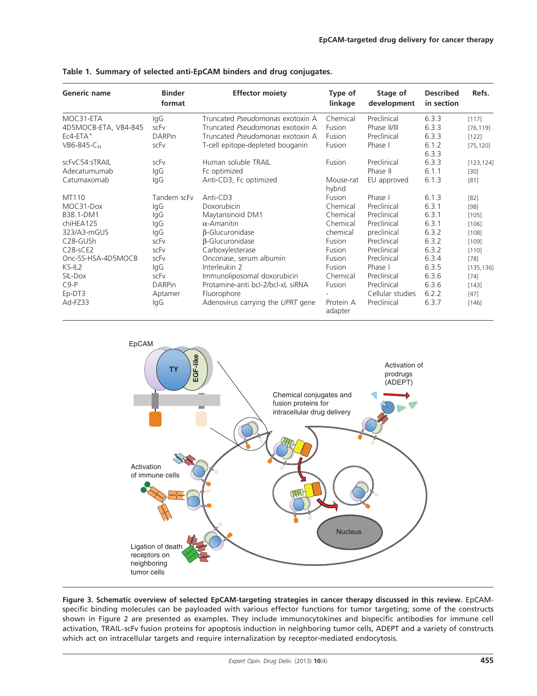| <b>Generic name</b>   | <b>Binder</b><br>format | <b>Effector moiety</b>            | Type of<br>linkage   | Stage of<br>development | <b>Described</b><br>in section | Refs.      |
|-----------------------|-------------------------|-----------------------------------|----------------------|-------------------------|--------------------------------|------------|
| MOC31-ETA             | lgG                     | Truncated Pseudomonas exotoxin A  | Chemical             | Preclinical             | 6.3.3                          | [117]      |
| 4D5MOCB-ETA, VB4-845  | scFv                    | Truncated Pseudomonas exotoxin A  | Fusion               | Phase II/III            | 6.3.3                          | [76, 119]  |
| Ec4-ETA"              | <b>DARPin</b>           | Truncated Pseudomonas exotoxin A  | Fusion               | Preclinical             | 6.3.3                          | $[122]$    |
| $VB6-845-CH$          | scFv                    | T-cell epitope-depleted bouganin  | Fusion               | Phase I                 | 6.1.2<br>6.3.3                 | [75, 120]  |
| scFvC54:sTRAIL        | scFv                    | Human soluble TRAIL               | Fusion               | Preclinical             | 6.3.3                          | [123, 124] |
| Adecatumumab          | lgG                     | Fc optimized                      |                      | Phase II                | 6.1.1                          | $[30]$     |
| Catumaxomab           | IgG                     | Anti-CD3, Fc optimized            | Mouse-rat<br>hybrid  | EU approved             | 6.1.3                          | $[81]$     |
| MT110                 | Tandem scFv             | Anti-CD3                          | Fusion               | Phase I                 | 6.1.3                          | [82]       |
| MOC31-Dox             | IgG                     | Doxorubicin                       | Chemical             | Preclinical             | 6.3.1                          | $[98]$     |
| B38.1-DM1             | lgG                     | Maytansinoid DM1                  | Chemical             | Preclinical             | 6.3.1                          | [105]      |
| chiHEA125             | IgG                     | $\alpha$ -Amanitin                | Chemical             | Preclinical             | 6.3.1                          | $[106]$    |
| 323/A3-mGUS           | IgG                     | β-Glucuronidase                   | chemical             | preclinical             | 6.3.2                          | [108]      |
| C <sub>28</sub> -GUSh | scFv                    | <b>B-Glucuronidase</b>            | Fusion               | Preclinical             | 6.3.2                          | [109]      |
| $C28-SCE2$            | scFv                    | Carboxylesterase                  | Fusion               | Preclinical             | 6.3.2                          | [110]      |
| Onc-SS-HSA-4D5MOCB    | scFv                    | Onconase, serum albumin           | Fusion               | Preclinical             | 6.3.4                          | $[78]$     |
| $KS$ -IL2             | IgG                     | Interleukin 2                     | Fusion               | Phase I                 | 6.3.5                          | [135, 136] |
| SIL-Dox               | scFv                    | Immunoliposomal doxorubicin       | Chemical             | Preclinical             | 6.3.6                          | $[74]$     |
| $C9-P$                | <b>DARPin</b>           | Protamine-anti bcl-2/bcl-xL siRNA | Fusion               | Preclinical             | 6.3.6                          | $[143]$    |
| Ep-DT3                | Aptamer                 | Fluorophore                       |                      | Cellular studies        | 6.2.2                          | $[47]$     |
| Ad-FZ33               | lgG                     | Adenovirus carrying the UPRT gene | Protein A<br>adapter | Preclinical             | 6.3.7                          | [146]      |

Table 1. Summary of selected anti-EpCAM binders and drug conjugates.



Figure 3. Schematic overview of selected EpCAM-targeting strategies in cancer therapy discussed in this review. EpCAMspecific binding molecules can be payloaded with various effector functions for tumor targeting; some of the constructs shown in Figure 2 are presented as examples. They include immunocytokines and bispecific antibodies for immune cell activation, TRAIL--scFv fusion proteins for apoptosis induction in neighboring tumor cells, ADEPT and a variety of constructs which act on intracellular targets and require internalization by receptor-mediated endocytosis.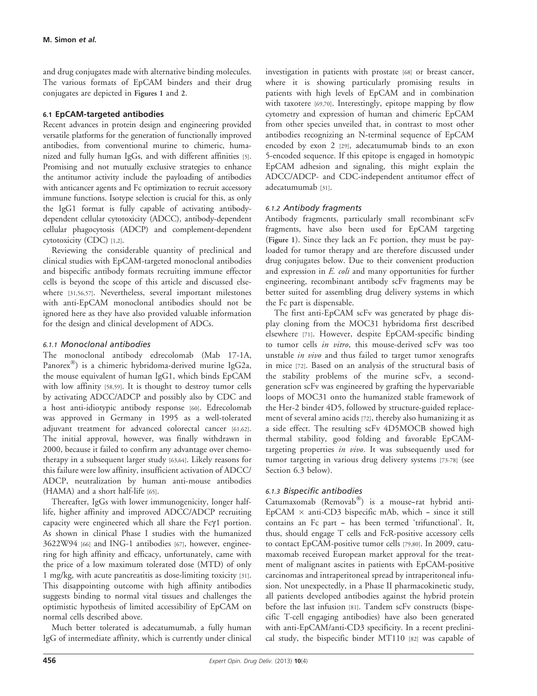and drug conjugates made with alternative binding molecules. The various formats of EpCAM binders and their drug conjugates are depicted in Figures 1 and <sup>2</sup>.

#### 6.1 EpCAM-targeted antibodies

Recent advances in protein design and engineering provided versatile platforms for the generation of functionally improved antibodies, from conventional murine to chimeric, humanized and fully human IgGs, and with different affinities [5]. Promising and not mutually exclusive strategies to enhance the antitumor activity include the payloading of antibodies with anticancer agents and Fc optimization to recruit accessory immune functions. Isotype selection is crucial for this, as only the IgG1 format is fully capable of activating antibodydependent cellular cytotoxicity (ADCC), antibody-dependent cellular phagocytosis (ADCP) and complement-dependent cytotoxicity (CDC) [1,2].

Reviewing the considerable quantity of preclinical and clinical studies with EpCAM-targeted monoclonal antibodies and bispecific antibody formats recruiting immune effector cells is beyond the scope of this article and discussed elsewhere [31,56,57]. Nevertheless, several important milestones with anti-EpCAM monoclonal antibodies should not be ignored here as they have also provided valuable information for the design and clinical development of ADCs.

#### 6.1.1 Monoclonal antibodies

The monoclonal antibody edrecolomab (Mab 17-1A, Panorex-) is a chimeric hybridoma-derived murine IgG2a, the mouse equivalent of human IgG1, which binds EpCAM with low affinity [58,59]. It is thought to destroy tumor cells by activating ADCC/ADCP and possibly also by CDC and a host anti-idiotypic antibody response [60]. Edrecolomab was approved in Germany in 1995 as a well-tolerated adjuvant treatment for advanced colorectal cancer [61,62]. The initial approval, however, was finally withdrawn in 2000, because it failed to confirm any advantage over chemotherapy in a subsequent larger study [63,64]. Likely reasons for this failure were low affinity, insufficient activation of ADCC/ ADCP, neutralization by human anti-mouse antibodies (HAMA) and a short half-life [65].

Thereafter, IgGs with lower immunogenicity, longer halflife, higher affinity and improved ADCC/ADCP recruiting capacity were engineered which all share the Fc $\gamma$ 1 portion. As shown in clinical Phase I studies with the humanized 3622W94 [66] and ING-1 antibodies [67], however, engineering for high affinity and efficacy, unfortunately, came with the price of a low maximum tolerated dose (MTD) of only 1 mg/kg, with acute pancreatitis as dose-limiting toxicity [31]. This disappointing outcome with high affinity antibodies suggests binding to normal vital tissues and challenges the optimistic hypothesis of limited accessibility of EpCAM on normal cells described above.

Much better tolerated is adecatumumab, a fully human IgG of intermediate affinity, which is currently under clinical

investigation in patients with prostate [68] or breast cancer, where it is showing particularly promising results in patients with high levels of EpCAM and in combination with taxotere [69,70]. Interestingly, epitope mapping by flow cytometry and expression of human and chimeric EpCAM from other species unveiled that, in contrast to most other antibodies recognizing an N-terminal sequence of EpCAM encoded by exon 2 [29], adecatumumab binds to an exon 5-encoded sequence. If this epitope is engaged in homotypic EpCAM adhesion and signaling, this might explain the ADCC/ADCP- and CDC-independent antitumor effect of adecatumumab [31].

#### 6.1.2 Antibody fragments

Antibody fragments, particularly small recombinant scFv fragments, have also been used for EpCAM targeting (Figure 1). Since they lack an Fc portion, they must be payloaded for tumor therapy and are therefore discussed under drug conjugates below. Due to their convenient production and expression in E. coli and many opportunities for further engineering, recombinant antibody scFv fragments may be better suited for assembling drug delivery systems in which the Fc part is dispensable.

The first anti-EpCAM scFv was generated by phage display cloning from the MOC31 hybridoma first described elsewhere [71]. However, despite EpCAM-specific binding to tumor cells in vitro, this mouse-derived scFv was too unstable *in vivo* and thus failed to target tumor xenografts in mice [72]. Based on an analysis of the structural basis of the stability problems of the murine scFv, a secondgeneration scFv was engineered by grafting the hypervariable loops of MOC31 onto the humanized stable framework of the Her-2 binder 4D5, followed by structure-guided replacement of several amino acids [72], thereby also humanizing it as a side effect. The resulting scFv 4D5MOCB showed high thermal stability, good folding and favorable EpCAMtargeting properties in vivo. It was subsequently used for tumor targeting in various drug delivery systems [73-78] (see Section 6.3 below).

#### 6.1.3 Bispecific antibodies

Catumaxomab (Removab<sup>®</sup>) is a mouse-rat hybrid anti-EpCAM  $\times$  anti-CD3 bispecific mAb, which -- since it still contains an Fc part - has been termed 'trifunctional'. It, thus, should engage T cells and FcR-positive accessory cells to contact EpCAM-positive tumor cells [79,80]. In 2009, catumaxomab received European market approval for the treatment of malignant ascites in patients with EpCAM-positive carcinomas and intraperitoneal spread by intraperitoneal infusion. Not unexpectedly, in a Phase II pharmacokinetic study, all patients developed antibodies against the hybrid protein before the last infusion [81]. Tandem scFv constructs (bispecific T-cell engaging antibodies) have also been generated with anti-EpCAM/anti-CD3 specificity. In a recent preclinical study, the bispecific binder MT110 [82] was capable of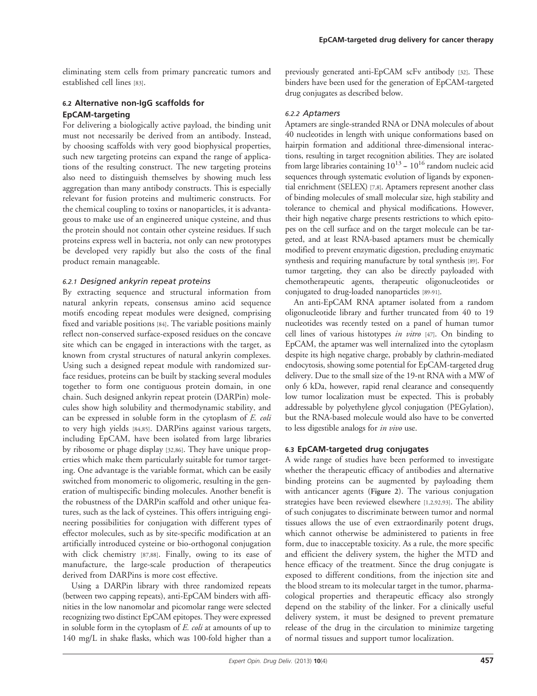eliminating stem cells from primary pancreatic tumors and established cell lines [83].

# 6.2 Alternative non-IgG scaffolds for

# EpCAM-targeting

For delivering a biologically active payload, the binding unit must not necessarily be derived from an antibody. Instead, by choosing scaffolds with very good biophysical properties, such new targeting proteins can expand the range of applications of the resulting construct. The new targeting proteins also need to distinguish themselves by showing much less aggregation than many antibody constructs. This is especially relevant for fusion proteins and multimeric constructs. For the chemical coupling to toxins or nanoparticles, it is advantageous to make use of an engineered unique cysteine, and thus the protein should not contain other cysteine residues. If such proteins express well in bacteria, not only can new prototypes be developed very rapidly but also the costs of the final product remain manageable.

#### 6.2.1 Designed ankyrin repeat proteins

By extracting sequence and structural information from natural ankyrin repeats, consensus amino acid sequence motifs encoding repeat modules were designed, comprising fixed and variable positions [84]. The variable positions mainly reflect non-conserved surface-exposed residues on the concave site which can be engaged in interactions with the target, as known from crystal structures of natural ankyrin complexes. Using such a designed repeat module with randomized surface residues, proteins can be built by stacking several modules together to form one contiguous protein domain, in one chain. Such designed ankyrin repeat protein (DARPin) molecules show high solubility and thermodynamic stability, and can be expressed in soluble form in the cytoplasm of E. coli to very high yields [84,85]. DARPins against various targets, including EpCAM, have been isolated from large libraries by ribosome or phage display [32,86]. They have unique properties which make them particularly suitable for tumor targeting. One advantage is the variable format, which can be easily switched from monomeric to oligomeric, resulting in the generation of multispecific binding molecules. Another benefit is the robustness of the DARPin scaffold and other unique features, such as the lack of cysteines. This offers intriguing engineering possibilities for conjugation with different types of effector molecules, such as by site-specific modification at an artificially introduced cysteine or bio-orthogonal conjugation with click chemistry [87,88]. Finally, owing to its ease of manufacture, the large-scale production of therapeutics derived from DARPins is more cost effective.

Using a DARPin library with three randomized repeats (between two capping repeats), anti-EpCAM binders with affinities in the low nanomolar and picomolar range were selected recognizing two distinct EpCAM epitopes. They were expressed in soluble form in the cytoplasm of E. coli at amounts of up to 140 mg/L in shake flasks, which was 100-fold higher than a

previously generated anti-EpCAM scFv antibody [32]. These binders have been used for the generation of EpCAM-targeted drug conjugates as described below.

#### 6.2.2 Aptamers

Aptamers are single-stranded RNA or DNA molecules of about 40 nucleotides in length with unique conformations based on hairpin formation and additional three-dimensional interactions, resulting in target recognition abilities. They are isolated from large libraries containing  $10^{13} - 10^{16}$  random nucleic acid sequences through systematic evolution of ligands by exponential enrichment (SELEX) [7,8]. Aptamers represent another class of binding molecules of small molecular size, high stability and tolerance to chemical and physical modifications. However, their high negative charge presents restrictions to which epitopes on the cell surface and on the target molecule can be targeted, and at least RNA-based aptamers must be chemically modified to prevent enzymatic digestion, precluding enzymatic synthesis and requiring manufacture by total synthesis [89]. For tumor targeting, they can also be directly payloaded with chemotherapeutic agents, therapeutic oligonucleotides or conjugated to drug-loaded nanoparticles [89-91].

An anti-EpCAM RNA aptamer isolated from a random oligonucleotide library and further truncated from 40 to 19 nucleotides was recently tested on a panel of human tumor cell lines of various histotypes in vitro [47]. On binding to EpCAM, the aptamer was well internalized into the cytoplasm despite its high negative charge, probably by clathrin-mediated endocytosis, showing some potential for EpCAM-targeted drug delivery. Due to the small size of the 19-nt RNA with a MW of only 6 kDa, however, rapid renal clearance and consequently low tumor localization must be expected. This is probably addressable by polyethylene glycol conjugation (PEGylation), but the RNA-based molecule would also have to be converted to less digestible analogs for in vivo use.

# 6.3 EpCAM-targeted drug conjugates

A wide range of studies have been performed to investigate whether the therapeutic efficacy of antibodies and alternative binding proteins can be augmented by payloading them with anticancer agents (Figure 2). The various conjugation strategies have been reviewed elsewhere [1,2,92,93]. The ability of such conjugates to discriminate between tumor and normal tissues allows the use of even extraordinarily potent drugs, which cannot otherwise be administered to patients in free form, due to inacceptable toxicity. As a rule, the more specific and efficient the delivery system, the higher the MTD and hence efficacy of the treatment. Since the drug conjugate is exposed to different conditions, from the injection site and the blood stream to its molecular target in the tumor, pharmacological properties and therapeutic efficacy also strongly depend on the stability of the linker. For a clinically useful delivery system, it must be designed to prevent premature release of the drug in the circulation to minimize targeting of normal tissues and support tumor localization.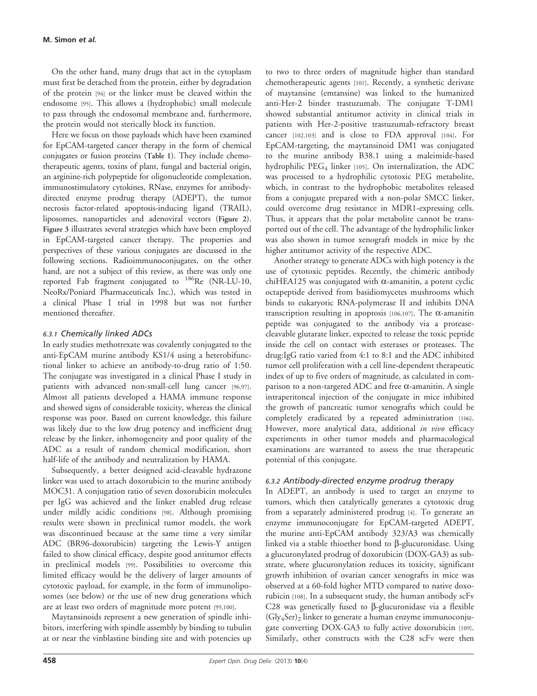On the other hand, many drugs that act in the cytoplasm must first be detached from the protein, either by degradation of the protein [94] or the linker must be cleaved within the endosome [95]. This allows a (hydrophobic) small molecule to pass through the endosomal membrane and, furthermore, the protein would not sterically block its function.

Here we focus on those payloads which have been examined for EpCAM-targeted cancer therapy in the form of chemical conjugates or fusion proteins (Table 1). They include chemotherapeutic agents, toxins of plant, fungal and bacterial origin, an arginine-rich polypeptide for oligonucleotide complexation, immunostimulatory cytokines, RNase, enzymes for antibodydirected enzyme prodrug therapy (ADEPT), the tumor necrosis factor-related apoptosis-inducing ligand (TRAIL), liposomes, nanoparticles and adenoviral vectors (Figure 2). Figure 3 illustrates several strategies which have been employed in EpCAM-targeted cancer therapy. The properties and perspectives of these various conjugates are discussed in the following sections. Radioimmunoconjugates, on the other hand, are not a subject of this review, as there was only one reported Fab fragment conjugated to <sup>186</sup>Re (NR-LU-10, NeoRx/Poniard Pharmaceuticals Inc.), which was tested in a clinical Phase I trial in 1998 but was not further mentioned thereafter.

#### 6.3.1 Chemically linked ADCs

In early studies methotrexate was covalently conjugated to the anti-EpCAM murine antibody KS1/4 using a heterobifunctional linker to achieve an antibody-to-drug ratio of 1:50. The conjugate was investigated in a clinical Phase I study in patients with advanced non-small-cell lung cancer [96,97]. Almost all patients developed a HAMA immune response and showed signs of considerable toxicity, whereas the clinical response was poor. Based on current knowledge, this failure was likely due to the low drug potency and inefficient drug release by the linker, inhomogeneity and poor quality of the ADC as a result of random chemical modification, short half-life of the antibody and neutralization by HAMA.

Subsequently, a better designed acid-cleavable hydrazone linker was used to attach doxorubicin to the murine antibody MOC31. A conjugation ratio of seven doxorubicin molecules per IgG was achieved and the linker enabled drug release under mildly acidic conditions [98]. Although promising results were shown in preclinical tumor models, the work was discontinued because at the same time a very similar ADC (BR96-doxorubicin) targeting the Lewis-Y antigen failed to show clinical efficacy, despite good antitumor effects in preclinical models [99]. Possibilities to overcome this limited efficacy would be the delivery of larger amounts of cytotoxic payload, for example, in the form of immunoliposomes (see below) or the use of new drug generations which are at least two orders of magnitude more potent [95,100].

Maytansinoids represent a new generation of spindle inhibitors, interfering with spindle assembly by binding to tubulin at or near the vinblastine binding site and with potencies up to two to three orders of magnitude higher than standard chemotherapeutic agents [101]. Recently, a synthetic derivate of maytansine (emtansine) was linked to the humanized anti-Her-2 binder trastuzumab. The conjugate T-DM1 showed substantial antitumor activity in clinical trials in patients with Her-2-positive trastuzumab-refractory breast cancer [102,103] and is close to FDA approval [104]. For EpCAM-targeting, the maytansinoid DM1 was conjugated to the murine antibody B38.1 using a maleimide-based hydrophilic  $PEG<sub>4</sub>$  linker [105]. On internalization, the ADC was processed to a hydrophilic cytotoxic PEG metabolite, which, in contrast to the hydrophobic metabolites released from a conjugate prepared with a non-polar SMCC linker, could overcome drug resistance in MDR1-expressing cells. Thus, it appears that the polar metabolite cannot be transported out of the cell. The advantage of the hydrophilic linker was also shown in tumor xenograft models in mice by the higher antitumor activity of the respective ADC.

Another strategy to generate ADCs with high potency is the use of cytotoxic peptides. Recently, the chimeric antibody chiHEA125 was conjugated with  $\alpha$ -amanitin, a potent cyclic octapeptide derived from basidiomycetes mushrooms which binds to eukaryotic RNA-polymerase II and inhibits DNA transcription resulting in apoptosis [106,107]. The  $\alpha$ -amanitin peptide was conjugated to the antibody via a proteasecleavable glutarate linker, expected to release the toxic peptide inside the cell on contact with esterases or proteases. The drug:IgG ratio varied from 4:1 to 8:1 and the ADC inhibited tumor cell proliferation with a cell line-dependent therapeutic index of up to five orders of magnitude, as calculated in comparison to a non-targeted ADC and free  $\alpha$ -amanitin. A single intraperitoneal injection of the conjugate in mice inhibited the growth of pancreatic tumor xenografts which could be completely eradicated by a repeated administration [106]. However, more analytical data, additional in vivo efficacy experiments in other tumor models and pharmacological examinations are warranted to assess the true therapeutic potential of this conjugate.

#### 6.3.2 Antibody-directed enzyme prodrug therapy

In ADEPT, an antibody is used to target an enzyme to tumors, which then catalytically generates a cytotoxic drug from a separately administered prodrug [4]. To generate an enzyme immunoconjugate for EpCAM-targeted ADEPT, the murine anti-EpCAM antibody 323/A3 was chemically linked via a stable thioether bond to  $\beta$ -glucuronidase. Using a glucuronylated prodrug of doxorubicin (DOX-GA3) as substrate, where glucuronylation reduces its toxicity, significant growth inhibition of ovarian cancer xenografts in mice was observed at a 60-fold higher MTD compared to native doxorubicin [108]. In a subsequent study, the human antibody scFv C28 was genetically fused to  $\beta$ -glucuronidase via a flexible  $(Gly<sub>4</sub>Ser)<sub>2</sub>$  linker to generate a human enzyme immunoconjugate converting DOX-GA3 to fully active doxorubicin [109]. Similarly, other constructs with the C28 scFv were then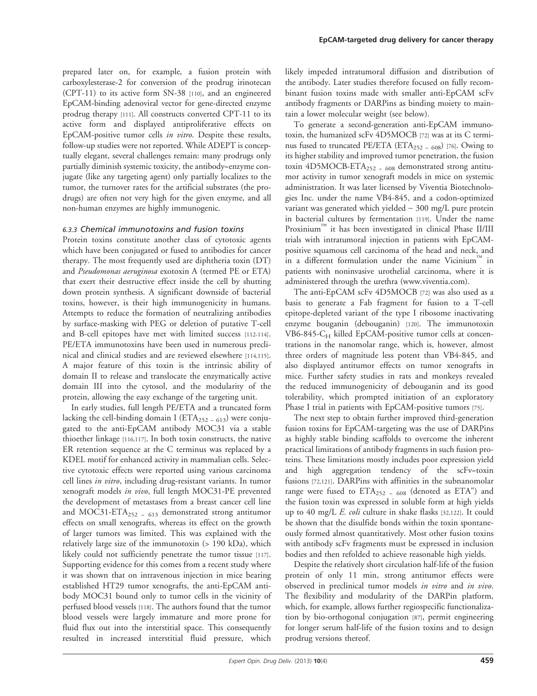prepared later on, for example, a fusion protein with carboxylesterase-2 for conversion of the prodrug irinotecan (CPT-11) to its active form SN-38 [110], and an engineered EpCAM-binding adenoviral vector for gene-directed enzyme prodrug therapy [111]. All constructs converted CPT-11 to its active form and displayed antiproliferative effects on EpCAM-positive tumor cells in vitro. Despite these results, follow-up studies were not reported. While ADEPT is conceptually elegant, several challenges remain: many prodrugs only partially diminish systemic toxicity, the antibody-enzyme conjugate (like any targeting agent) only partially localizes to the tumor, the turnover rates for the artificial substrates (the prodrugs) are often not very high for the given enzyme, and all non-human enzymes are highly immunogenic.

#### 6.3.3 Chemical immunotoxins and fusion toxins

Protein toxins constitute another class of cytotoxic agents which have been conjugated or fused to antibodies for cancer therapy. The most frequently used are diphtheria toxin (DT) and Pseudomonas aeruginosa exotoxin A (termed PE or ETA) that exert their destructive effect inside the cell by shutting down protein synthesis. A significant downside of bacterial toxins, however, is their high immunogenicity in humans. Attempts to reduce the formation of neutralizing antibodies by surface-masking with PEG or deletion of putative T-cell and B-cell epitopes have met with limited success [112-114]. PE/ETA immunotoxins have been used in numerous preclinical and clinical studies and are reviewed elsewhere [114,115]. A major feature of this toxin is the intrinsic ability of domain II to release and translocate the enzymatically active domain III into the cytosol, and the modularity of the protein, allowing the easy exchange of the targeting unit.

In early studies, full length PE/ETA and a truncated form lacking the cell-binding domain I ( $ETA_{252 - 613}$ ) were conjugated to the anti-EpCAM antibody MOC31 via a stable thioether linkage [116,117]. In both toxin constructs, the native ER retention sequence at the C terminus was replaced by a KDEL motif for enhanced activity in mammalian cells. Selective cytotoxic effects were reported using various carcinoma cell lines in vitro, including drug-resistant variants. In tumor xenograft models in vivo, full length MOC31-PE prevented the development of metastases from a breast cancer cell line and MOC31-ETA<sub>252</sub> -  $613$  demonstrated strong antitumor effects on small xenografts, whereas its effect on the growth of larger tumors was limited. This was explained with the relatively large size of the immunotoxin  $(> 190 \text{ kDa})$ , which likely could not sufficiently penetrate the tumor tissue [117]. Supporting evidence for this comes from a recent study where it was shown that on intravenous injection in mice bearing established HT29 tumor xenografts, the anti-EpCAM antibody MOC31 bound only to tumor cells in the vicinity of perfused blood vessels [118]. The authors found that the tumor blood vessels were largely immature and more prone for fluid flux out into the interstitial space. This consequently resulted in increased interstitial fluid pressure, which

likely impeded intratumoral diffusion and distribution of the antibody. Later studies therefore focused on fully recombinant fusion toxins made with smaller anti-EpCAM scFv antibody fragments or DARPins as binding moiety to maintain a lower molecular weight (see below).

To generate a second-generation anti-EpCAM immunotoxin, the humanized scFv 4D5MOCB [72] was at its C terminus fused to truncated PE/ETA (ETA<sub>252 -- 608</sub>) [76]. Owing to its higher stability and improved tumor penetration, the fusion toxin 4D5MOCB-ETA<sub>252</sub> -  $_{608}$  demonstrated strong antitumor activity in tumor xenograft models in mice on systemic administration. It was later licensed by Viventia Biotechnologies Inc. under the name VB4-845, and a codon-optimized variant was generated which yielded  $\sim$  300 mg/L pure protein in bacterial cultures by fermentation [119]. Under the name Proxinium<sup>™</sup> it has been investigated in clinical Phase II/III trials with intratumoral injection in patients with EpCAMpositive squamous cell carcinoma of the head and neck, and in a different formulation under the name Vicinium $\mathbb{I}^m$  in patients with noninvasive urothelial carcinoma, where it is administered through the urethra (www.viventia.com).

The anti-EpCAM scFv 4D5MOCB [72] was also used as a basis to generate a Fab fragment for fusion to a T-cell epitope-depleted variant of the type I ribosome inactivating enzyme bouganin (debouganin) [120]. The immunotoxin VB6-845-C<sub>H</sub> killed EpCAM-positive tumor cells at concentrations in the nanomolar range, which is, however, almost three orders of magnitude less potent than VB4-845, and also displayed antitumor effects on tumor xenografts in mice. Further safety studies in rats and monkeys revealed the reduced immunogenicity of debouganin and its good tolerability, which prompted initiation of an exploratory Phase I trial in patients with EpCAM-positive tumors [75].

The next step to obtain further improved third-generation fusion toxins for EpCAM-targeting was the use of DARPins as highly stable binding scaffolds to overcome the inherent practical limitations of antibody fragments in such fusion proteins. These limitations mostly includes poor expression yield and high aggregation tendency of the scFv--toxin fusions [72,121]. DARPins with affinities in the subnanomolar range were fused to  $ETA_{252}$  -  $_{608}$  (denoted as  $ETA"$ ) and the fusion toxin was expressed in soluble form at high yields up to 40 mg/L E. coli culture in shake flasks [32,122]. It could be shown that the disulfide bonds within the toxin spontaneously formed almost quantitatively. Most other fusion toxins with antibody scFv fragments must be expressed in inclusion bodies and then refolded to achieve reasonable high yields.

Despite the relatively short circulation half-life of the fusion protein of only 11 min, strong antitumor effects were observed in preclinical tumor models in vitro and in vivo. The flexibility and modularity of the DARPin platform, which, for example, allows further regiospecific functionalization by bio-orthogonal conjugation [87], permit engineering for longer serum half-life of the fusion toxins and to design prodrug versions thereof.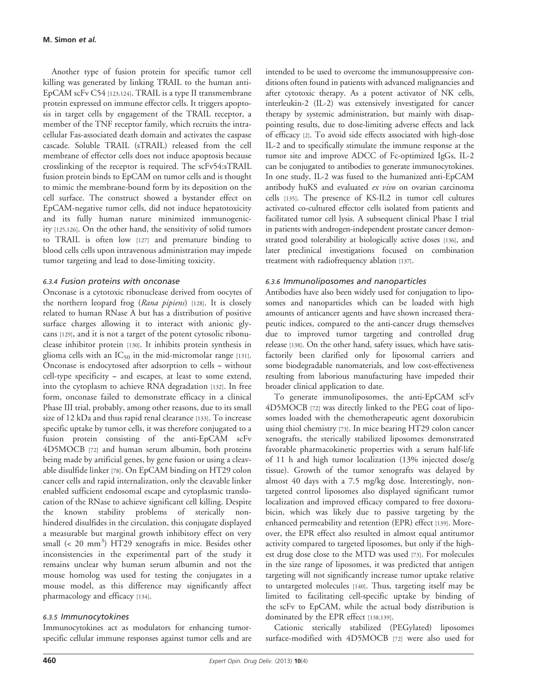Another type of fusion protein for specific tumor cell killing was generated by linking TRAIL to the human anti-EpCAM scFv C54 [123,124]. TRAIL is a type II transmembrane protein expressed on immune effector cells. It triggers apoptosis in target cells by engagement of the TRAIL receptor, a member of the TNF receptor family, which recruits the intracellular Fas-associated death domain and activates the caspase cascade. Soluble TRAIL (sTRAIL) released from the cell membrane of effector cells does not induce apoptosis because crosslinking of the receptor is required. The scFv54:sTRAIL fusion protein binds to EpCAM on tumor cells and is thought to mimic the membrane-bound form by its deposition on the cell surface. The construct showed a bystander effect on EpCAM-negative tumor cells, did not induce hepatotoxicity and its fully human nature minimized immunogenicity [125,126]. On the other hand, the sensitivity of solid tumors to TRAIL is often low [127] and premature binding to blood cells cells upon intravenous administration may impede tumor targeting and lead to dose-limiting toxicity.

#### 6.3.4 Fusion proteins with onconase

Onconase is a cytotoxic ribonuclease derived from oocytes of the northern leopard frog (Rana pipiens) [128]. It is closely related to human RNase A but has a distribution of positive surface charges allowing it to interact with anionic glycans [129], and it is not a target of the potent cytosolic ribonuclease inhibitor protein [130]. It inhibits protein synthesis in glioma cells with an  $IC_{50}$  in the mid-micromolar range [131]. Onconase is endocytosed after adsorption to cells - without cell-type specificity -- and escapes, at least to some extend, into the cytoplasm to achieve RNA degradation [132]. In free form, onconase failed to demonstrate efficacy in a clinical Phase III trial, probably, among other reasons, due to its small size of 12 kDa and thus rapid renal clearance [133]. To increase specific uptake by tumor cells, it was therefore conjugated to a fusion protein consisting of the anti-EpCAM scFv 4D5MOCB [72] and human serum albumin, both proteins being made by artificial genes, by gene fusion or using a cleavable disulfide linker [78]. On EpCAM binding on HT29 colon cancer cells and rapid internalization, only the cleavable linker enabled sufficient endosomal escape and cytoplasmic translocation of the RNase to achieve significant cell killing. Despite the known stability problems of sterically nonhindered disulfides in the circulation, this conjugate displayed a measurable but marginal growth inhibitory effect on very small (< 20 mm<sup>3</sup>) HT29 xenografts in mice. Besides other inconsistencies in the experimental part of the study it remains unclear why human serum albumin and not the mouse homolog was used for testing the conjugates in a mouse model, as this difference may significantly affect pharmacology and efficacy [134].

#### 6.3.5 Immunocytokines

Immunocytokines act as modulators for enhancing tumorspecific cellular immune responses against tumor cells and are intended to be used to overcome the immunosuppressive conditions often found in patients with advanced malignancies and after cytotoxic therapy. As a potent activator of NK cells, interleukin-2 (IL-2) was extensively investigated for cancer therapy by systemic administration, but mainly with disappointing results, due to dose-limiting adverse effects and lack of efficacy [2]. To avoid side effects associated with high-dose IL-2 and to specifically stimulate the immune response at the tumor site and improve ADCC of Fc-optimized IgGs, IL-2 can be conjugated to antibodies to generate immunocytokines. In one study, IL-2 was fused to the humanized anti-EpCAM antibody huKS and evaluated ex vivo on ovarian carcinoma cells [135]. The presence of KS-IL2 in tumor cell cultures activated co-cultured effector cells isolated from patients and facilitated tumor cell lysis. A subsequent clinical Phase I trial in patients with androgen-independent prostate cancer demonstrated good tolerability at biologically active doses [136], and later preclinical investigations focused on combination treatment with radiofrequency ablation [137].

#### 6.3.6 Immunoliposomes and nanoparticles

Antibodies have also been widely used for conjugation to liposomes and nanoparticles which can be loaded with high amounts of anticancer agents and have shown increased therapeutic indices, compared to the anti-cancer drugs themselves due to improved tumor targeting and controlled drug release [138]. On the other hand, safety issues, which have satisfactorily been clarified only for liposomal carriers and some biodegradable nanomaterials, and low cost-effectiveness resulting from laborious manufacturing have impeded their broader clinical application to date.

To generate immunoliposomes, the anti-EpCAM scFv 4D5MOCB [72] was directly linked to the PEG coat of liposomes loaded with the chemotherapeutic agent doxorubicin using thiol chemistry [73]. In mice bearing HT29 colon cancer xenografts, the sterically stabilized liposomes demonstrated favorable pharmacokinetic properties with a serum half-life of 11 h and high tumor localization (13% injected dose/g tissue). Growth of the tumor xenografts was delayed by almost 40 days with a 7.5 mg/kg dose. Interestingly, nontargeted control liposomes also displayed significant tumor localization and improved efficacy compared to free doxorubicin, which was likely due to passive targeting by the enhanced permeability and retention (EPR) effect [139]. Moreover, the EPR effect also resulted in almost equal antitumor activity compared to targeted liposomes, but only if the highest drug dose close to the MTD was used [73]. For molecules in the size range of liposomes, it was predicted that antigen targeting will not significantly increase tumor uptake relative to untargeted molecules [140]. Thus, targeting itself may be limited to facilitating cell-specific uptake by binding of the scFv to EpCAM, while the actual body distribution is dominated by the EPR effect [138,139].

Cationic sterically stabilized (PEGylated) liposomes surface-modified with 4D5MOCB [72] were also used for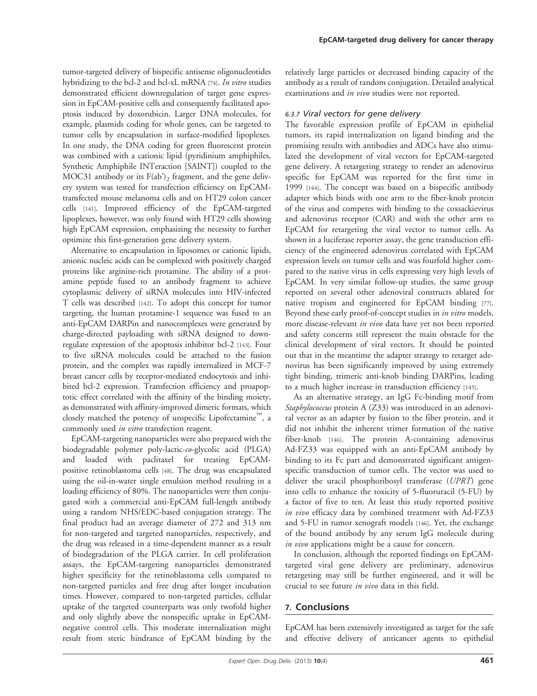tumor-targeted delivery of bispecific antisense oligonucleotides hybridizing to the bcl-2 and bcl-xL mRNA [74]. In vitro studies demonstrated efficient downregulation of target gene expression in EpCAM-positive cells and consequently facilitated apoptosis induced by doxorubicin. Larger DNA molecules, for example, plasmids coding for whole genes, can be targeted to tumor cells by encapsulation in surface-modified lipoplexes. In one study, the DNA coding for green fluorescent protein was combined with a cationic lipid (pyridinium amphiphiles, Synthetic Amphiphile INTeraction [SAINT]) coupled to the MOC31 antibody or its  $F(ab')$ <sub>2</sub> fragment, and the gene delivery system was tested for transfection efficiency on EpCAMtransfected mouse melanoma cells and on HT29 colon cancer cells [141]. Improved efficiency of the EpCAM-targeted lipoplexes, however, was only found with HT29 cells showing high EpCAM expression, emphasizing the necessity to further optimize this first-generation gene delivery system.

Alternative to encapsulation in liposomes or cationic lipids, anionic nucleic acids can be complexed with positively charged proteins like arginine-rich protamine. The ability of a protamine peptide fused to an antibody fragment to achieve cytoplasmic delivery of siRNA molecules into HIV-infected T cells was described [142]. To adopt this concept for tumor targeting, the human protamine-1 sequence was fused to an anti-EpCAM DARPin and nanocomplexes were generated by charge-directed payloading with siRNA designed to downregulate expression of the apoptosis inhibitor bcl-2 [143]. Four to five siRNA molecules could be attached to the fusion protein, and the complex was rapidly internalized in MCF-7 breast cancer cells by receptor-mediated endocytosis and inhibited bcl-2 expression. Transfection efficiency and proapoptotic effect correlated with the affinity of the binding moiety, as demonstrated with affinity-improved dimeric formats, which closely matched the potency of unspecific Lipofectamine<sup>16</sup>, a commonly used in vitro transfection reagent.

EpCAM-targeting nanoparticles were also prepared with the biodegradable polymer poly-lactic-co-glycolic acid (PLGA) and loaded with paclitaxel for treating EpCAMpositive retinoblastoma cells [48]. The drug was encapsulated using the oil-in-water single emulsion method resulting in a loading efficiency of 80%. The nanoparticles were then conjugated with a commercial anti-EpCAM full-length antibody using a random NHS/EDC-based conjugation strategy. The final product had an average diameter of 272 and 313 nm for non-targeted and targeted nanoparticles, respectively, and the drug was released in a time-dependent manner as a result of biodegradation of the PLGA carrier. In cell proliferation assays, the EpCAM-targeting nanoparticles demonstrated higher specificity for the retinoblastoma cells compared to non-targeted particles and free drug after longer incubation times. However, compared to non-targeted particles, cellular uptake of the targeted counterparts was only twofold higher and only slightly above the nonspecific uptake in EpCAMnegative control cells. This moderate internalization might result from steric hindrance of EpCAM binding by the relatively large particles or decreased binding capacity of the antibody as a result of random conjugation. Detailed analytical examinations and in vivo studies were not reported.

#### 6.3.7 Viral vectors for gene delivery

The favorable expression profile of EpCAM in epithelial tumors, its rapid internalization on ligand binding and the promising results with antibodies and ADCs have also stimulated the development of viral vectors for EpCAM-targeted gene delivery. A retargeting strategy to render an adenovirus specific for EpCAM was reported for the first time in 1999 [144]. The concept was based on a bispecific antibody adapter which binds with one arm to the fiber-knob protein of the virus and competes with binding to the coxsackievirus and adenovirus receptor (CAR) and with the other arm to EpCAM for retargeting the viral vector to tumor cells. As shown in a luciferase reporter assay, the gene transduction efficiency of the engineered adenovirus correlated with EpCAM expression levels on tumor cells and was fourfold higher compared to the native virus in cells expressing very high levels of EpCAM. In very similar follow-up studies, the same group reported on several other adenoviral constructs ablated for native tropism and engineered for EpCAM binding [77]. Beyond these early proof-of-concept studies in in vitro models, more disease-relevant in vivo data have yet not been reported and safety concerns still represent the main obstacle for the clinical development of viral vectors. It should be pointed out that in the meantime the adapter strategy to retarget adenovirus has been significantly improved by using extremely tight binding, trimeric anti-knob binding DARPins, leading to a much higher increase in transduction efficiency [145].

As an alternative strategy, an IgG Fc-binding motif from Staphylococcus protein A (Z33) was introduced in an adenoviral vector as an adapter by fusion to the fiber protein, and it did not inhibit the inherent trimer formation of the native fiber-knob [146]. The protein A-containing adenovirus Ad-FZ33 was equipped with an anti-EpCAM antibody by binding to its Fc part and demonstrated significant antigenspecific transduction of tumor cells. The vector was used to deliver the uracil phosphoribosyl transferase (UPRT) gene into cells to enhance the toxicity of 5-fluoruracil (5-FU) by a factor of five to ten. At least this study reported positive in vivo efficacy data by combined treatment with Ad-FZ33 and 5-FU in tumor xenograft models [146]. Yet, the exchange of the bound antibody by any serum IgG molecule during in vivo applications might be a cause for concern.

In conclusion, although the reported findings on EpCAMtargeted viral gene delivery are preliminary, adenovirus retargeting may still be further engineered, and it will be crucial to see future in vivo data in this field.

#### 7. Conclusions

EpCAM has been extensively investigated as target for the safe and effective delivery of anticancer agents to epithelial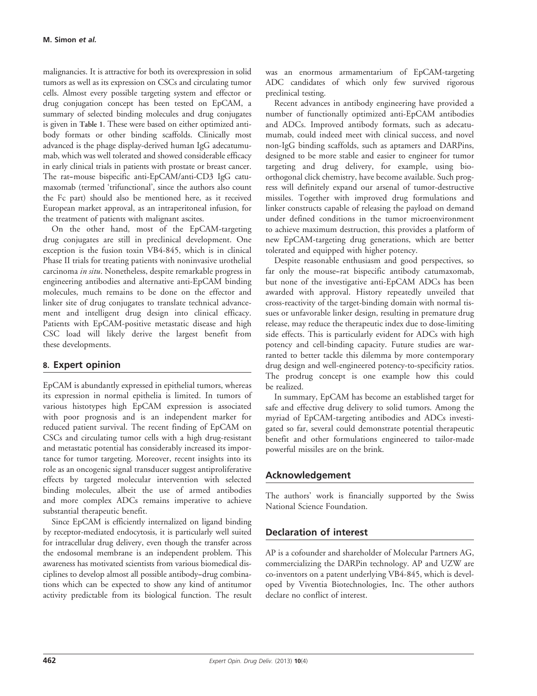malignancies. It is attractive for both its overexpression in solid tumors as well as its expression on CSCs and circulating tumor cells. Almost every possible targeting system and effector or drug conjugation concept has been tested on EpCAM, a summary of selected binding molecules and drug conjugates is given in Table 1. These were based on either optimized antibody formats or other binding scaffolds. Clinically most advanced is the phage display-derived human IgG adecatumumab, which was well tolerated and showed considerable efficacy in early clinical trials in patients with prostate or breast cancer. The rat-mouse bispecific anti-EpCAM/anti-CD3 IgG catumaxomab (termed 'trifunctional', since the authors also count the Fc part) should also be mentioned here, as it received European market approval, as an intraperitoneal infusion, for the treatment of patients with malignant ascites.

On the other hand, most of the EpCAM-targeting drug conjugates are still in preclinical development. One exception is the fusion toxin VB4-845, which is in clinical Phase II trials for treating patients with noninvasive urothelial carcinoma in situ. Nonetheless, despite remarkable progress in engineering antibodies and alternative anti-EpCAM binding molecules, much remains to be done on the effector and linker site of drug conjugates to translate technical advancement and intelligent drug design into clinical efficacy. Patients with EpCAM-positive metastatic disease and high CSC load will likely derive the largest benefit from these developments.

#### 8. Expert opinion

EpCAM is abundantly expressed in epithelial tumors, whereas its expression in normal epithelia is limited. In tumors of various histotypes high EpCAM expression is associated with poor prognosis and is an independent marker for reduced patient survival. The recent finding of EpCAM on CSCs and circulating tumor cells with a high drug-resistant and metastatic potential has considerably increased its importance for tumor targeting. Moreover, recent insights into its role as an oncogenic signal transducer suggest antiproliferative effects by targeted molecular intervention with selected binding molecules, albeit the use of armed antibodies and more complex ADCs remains imperative to achieve substantial therapeutic benefit.

Since EpCAM is efficiently internalized on ligand binding by receptor-mediated endocytosis, it is particularly well suited for intracellular drug delivery, even though the transfer across the endosomal membrane is an independent problem. This awareness has motivated scientists from various biomedical disciplines to develop almost all possible antibody-drug combinations which can be expected to show any kind of antitumor activity predictable from its biological function. The result was an enormous armamentarium of EpCAM-targeting ADC candidates of which only few survived rigorous preclinical testing.

Recent advances in antibody engineering have provided a number of functionally optimized anti-EpCAM antibodies and ADCs. Improved antibody formats, such as adecatumumab, could indeed meet with clinical success, and novel non-IgG binding scaffolds, such as aptamers and DARPins, designed to be more stable and easier to engineer for tumor targeting and drug delivery, for example, using bioorthogonal click chemistry, have become available. Such progress will definitely expand our arsenal of tumor-destructive missiles. Together with improved drug formulations and linker constructs capable of releasing the payload on demand under defined conditions in the tumor microenvironment to achieve maximum destruction, this provides a platform of new EpCAM-targeting drug generations, which are better tolerated and equipped with higher potency.

Despite reasonable enthusiasm and good perspectives, so far only the mouse-rat bispecific antibody catumaxomab, but none of the investigative anti-EpCAM ADCs has been awarded with approval. History repeatedly unveiled that cross-reactivity of the target-binding domain with normal tissues or unfavorable linker design, resulting in premature drug release, may reduce the therapeutic index due to dose-limiting side effects. This is particularly evident for ADCs with high potency and cell-binding capacity. Future studies are warranted to better tackle this dilemma by more contemporary drug design and well-engineered potency-to-specificity ratios. The prodrug concept is one example how this could be realized.

In summary, EpCAM has become an established target for safe and effective drug delivery to solid tumors. Among the myriad of EpCAM-targeting antibodies and ADCs investigated so far, several could demonstrate potential therapeutic benefit and other formulations engineered to tailor-made powerful missiles are on the brink.

# Acknowledgement

The authors' work is financially supported by the Swiss National Science Foundation.

# Declaration of interest

AP is a cofounder and shareholder of Molecular Partners AG, commercializing the DARPin technology. AP and UZW are co-inventors on a patent underlying VB4-845, which is developed by Viventia Biotechnologies, Inc. The other authors declare no conflict of interest.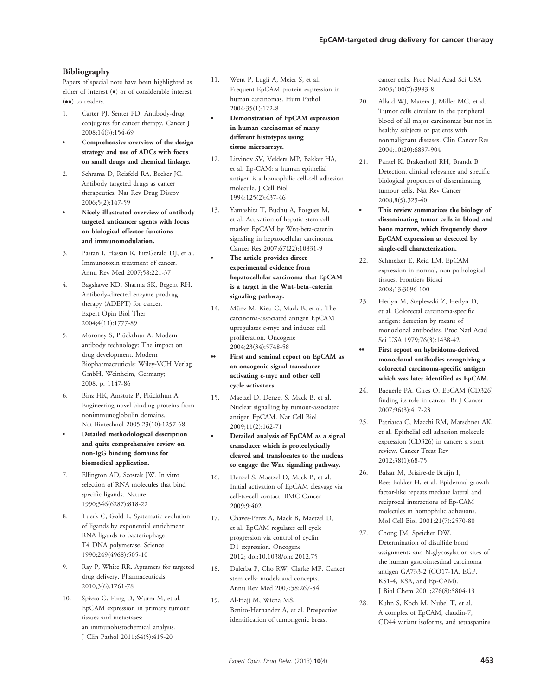#### Bibliography

Papers of special note have been highlighted as either of interest  $\left( \bullet \right)$  or of considerable interest  $(a<sub>n</sub>)$  to readers.

- 1. Carter PJ, Senter PD. Antibody-drug conjugates for cancer therapy. Cancer J 2008;14(3):154-69
- . Comprehensive overview of the design strategy and use of ADCs with focus on small drugs and chemical linkage.
- 2. Schrama D, Reisfeld RA, Becker JC. Antibody targeted drugs as cancer therapeutics. Nat Rev Drug Discov 2006;5(2):147-59
- . Nicely illustrated overview of antibody targeted anticancer agents with focus on biological effector functions and immunomodulation.
- 3. Pastan I, Hassan R, FitzGerald DJ, et al. Immunotoxin treatment of cancer. Annu Rev Med 2007;58:221-37
- 4. Bagshawe KD, Sharma SK, Begent RH. Antibody-directed enzyme prodrug therapy (ADEPT) for cancer. Expert Opin Biol Ther 2004;4(11):1777-89
- 5. Moroney S, Plückthun A. Modern antibody technology: The impact on drug development. Modern Biopharmaceuticals: Wiley-VCH Verlag GmbH, Weinheim, Germany; 2008. p. 1147-86
- 6. Binz HK, Amstutz P, Plückthun A. Engineering novel binding proteins from nonimmunoglobulin domains. Nat Biotechnol 2005;23(10):1257-68
- . Detailed methodological description and quite comprehensive review on non-IgG binding domains for biomedical application.
- 7. Ellington AD, Szostak JW. In vitro selection of RNA molecules that bind specific ligands. Nature 1990;346(6287):818-22
- 8. Tuerk C, Gold L. Systematic evolution of ligands by exponential enrichment: RNA ligands to bacteriophage T4 DNA polymerase. Science 1990;249(4968):505-10
- 9. Ray P, White RR. Aptamers for targeted drug delivery. Pharmaceuticals 2010;3(6):1761-78
- 10. Spizzo G, Fong D, Wurm M, et al. EpCAM expression in primary tumour tissues and metastases: an immunohistochemical analysis. J Clin Pathol 2011;64(5):415-20
- 11. Went P, Lugli A, Meier S, et al. Frequent EpCAM protein expression in human carcinomas. Hum Pathol 2004;35(1):122-8
- . Demonstration of EpCAM expression in human carcinomas of many different histotypes using tissue microarrays.
- 12. Litvinov SV, Velders MP, Bakker HA, et al. Ep-CAM: a human epithelial antigen is a homophilic cell-cell adhesion molecule. J Cell Biol 1994;125(2):437-46
- 13. Yamashita T, Budhu A, Forgues M, et al. Activation of hepatic stem cell marker EpCAM by Wnt-beta-catenin signaling in hepatocellular carcinoma. Cancer Res 2007;67(22):10831-9
- The article provides direct experimental evidence from hepatocellular carcinoma that EpCAM is a target in the Wnt-beta-catenin signaling pathway.
- 14. Münz M, Kieu C, Mack B, et al. The carcinoma-associated antigen EpCAM upregulates c-myc and induces cell proliferation. Oncogene 2004;23(34):5748-58
- First and seminal report on EpCAM as an oncogenic signal transducer activating c-myc and other cell cycle activators.
- 15. Maetzel D, Denzel S, Mack B, et al. Nuclear signalling by tumour-associated antigen EpCAM. Nat Cell Biol 2009;11(2):162-71
- . Detailed analysis of EpCAM as a signal transducer which is proteolytically cleaved and translocates to the nucleus to engage the Wnt signaling pathway.
- 16. Denzel S, Maetzel D, Mack B, et al. Initial activation of EpCAM cleavage via cell-to-cell contact. BMC Cancer 2009;9:402
- 17. Chaves-Perez A, Mack B, Maetzel D, et al. EpCAM regulates cell cycle progression via control of cyclin D1 expression. Oncogene 2012; doi:10.1038/onc.2012.75
- 18. Dalerba P, Cho RW, Clarke MF. Cancer stem cells: models and concepts. Annu Rev Med 2007;58:267-84
- 19. Al-Hajj M, Wicha MS, Benito-Hernandez A, et al. Prospective identification of tumorigenic breast

cancer cells. Proc Natl Acad Sci USA 2003;100(7):3983-8

- 20. Allard WJ, Matera J, Miller MC, et al. Tumor cells circulate in the peripheral blood of all major carcinomas but not in healthy subjects or patients with nonmalignant diseases. Clin Cancer Res 2004;10(20):6897-904
- 21. Pantel K, Brakenhoff RH, Brandt B. Detection, clinical relevance and specific biological properties of disseminating tumour cells. Nat Rev Cancer 2008;8(5):329-40
- . This review summarizes the biology of disseminating tumor cells in blood and bone marrow, which frequently show EpCAM expression as detected by single-cell characterization.
- 22. Schmelzer E, Reid LM. EpCAM expression in normal, non-pathological tissues. Frontiers Biosci 2008;13:3096-100
- 23. Herlyn M, Steplewski Z, Herlyn D, et al. Colorectal carcinoma-specific antigen: detection by means of monoclonal antibodies. Proc Natl Acad Sci USA 1979;76(3):1438-42
- First report on hybridoma-derived monoclonal antibodies recognizing a colorectal carcinoma-specific antigen which was later identified as EpCAM.
- 24. Baeuerle PA, Gires O. EpCAM (CD326) finding its role in cancer. Br J Cancer 2007;96(3):417-23
- 25. Patriarca C, Macchi RM, Marschner AK, et al. Epithelial cell adhesion molecule expression (CD326) in cancer: a short review. Cancer Treat Rev 2012;38(1):68-75
- 26. Balzar M, Briaire-de Bruijn I, Rees-Bakker H, et al. Epidermal growth factor-like repeats mediate lateral and reciprocal interactions of Ep-CAM molecules in homophilic adhesions. Mol Cell Biol 2001;21(7):2570-80
- 27. Chong JM, Speicher DW. Determination of disulfide bond assignments and N-glycosylation sites of the human gastrointestinal carcinoma antigen GA733-2 (CO17-1A, EGP, KS1-4, KSA, and Ep-CAM). J Biol Chem 2001;276(8):5804-13
- 28. Kuhn S, Koch M, Nubel T, et al. A complex of EpCAM, claudin-7, CD44 variant isoforms, and tetraspanins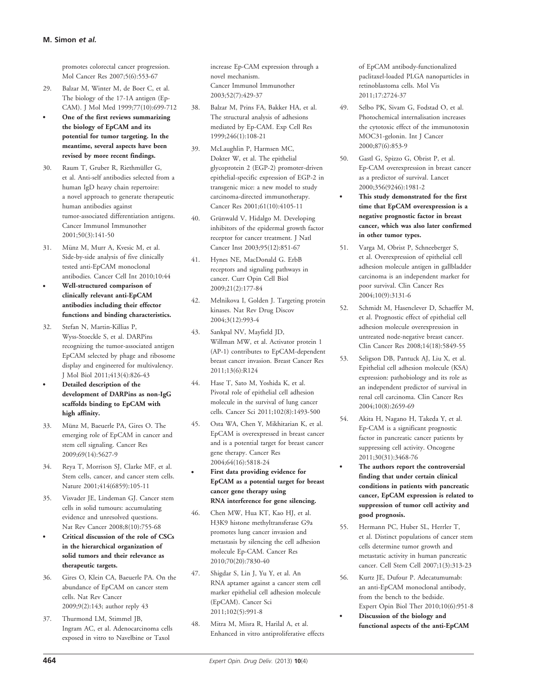#### M. Simon et al.

promotes colorectal cancer progression. Mol Cancer Res 2007;5(6):553-67

- 29. Balzar M, Winter M, de Boer C, et al. The biology of the 17-1A antigen (Ep-CAM). J Mol Med 1999;77(10):699-712
- . One of the first reviews summarizing the biology of EpCAM and its potential for tumor targeting. In the meantime, several aspects have been revised by more recent findings.
- 30. Raum T, Gruber R, Riethmüller G, et al. Anti-self antibodies selected from a human IgD heavy chain repertoire: a novel approach to generate therapeutic human antibodies against tumor-associated differentiation antigens. Cancer Immunol Immunother 2001;50(3):141-50
- 31. Münz M, Murr A, Kvesic M, et al. Side-by-side analysis of five clinically tested anti-EpCAM monoclonal antibodies. Cancer Cell Int 2010;10:44
- . Well-structured comparison of clinically relevant anti-EpCAM antibodies including their effector functions and binding characteristics.
- 32. Stefan N, Martin-Killias P, Wyss-Stoeckle S, et al. DARPins recognizing the tumor-associated antigen EpCAM selected by phage and ribosome display and engineered for multivalency. J Mol Biol 2011;413(4):826-43
- . Detailed description of the development of DARPins as non-IgG scaffolds binding to EpCAM with high affinity.
- 33. Münz M, Baeuerle PA, Gires O. The emerging role of EpCAM in cancer and stem cell signaling. Cancer Res 2009;69(14):5627-9
- 34. Reya T, Morrison SJ, Clarke MF, et al. Stem cells, cancer, and cancer stem cells. Nature 2001;414(6859):105-11
- 35. Visvader JE, Lindeman GJ. Cancer stem cells in solid tumours: accumulating evidence and unresolved questions. Nat Rev Cancer 2008;8(10):755-68
- . Critical discussion of the role of CSCs in the hierarchical organization of solid tumors and their relevance as therapeutic targets.
- 36. Gires O, Klein CA, Baeuerle PA. On the abundance of EpCAM on cancer stem cells. Nat Rev Cancer 2009;9(2):143; author reply 43
- 37. Thurmond LM, Stimmel JB, Ingram AC, et al. Adenocarcinoma cells exposed in vitro to Navelbine or Taxol

increase Ep-CAM expression through a novel mechanism. Cancer Immunol Immunother 2003;52(7):429-37

- 38. Balzar M, Prins FA, Bakker HA, et al. The structural analysis of adhesions mediated by Ep-CAM. Exp Cell Res 1999;246(1):108-21
- 39. McLaughlin P, Harmsen MC, Dokter W, et al. The epithelial glycoprotein 2 (EGP-2) promoter-driven epithelial-specific expression of EGP-2 in transgenic mice: a new model to study carcinoma-directed immunotherapy. Cancer Res 2001;61(10):4105-11
- 40. Grünwald V, Hidalgo M. Developing inhibitors of the epidermal growth factor receptor for cancer treatment. J Natl Cancer Inst 2003;95(12):851-67
- 41. Hynes NE, MacDonald G. ErbB receptors and signaling pathways in cancer. Curr Opin Cell Biol 2009;21(2):177-84
- 42. Melnikova I, Golden J. Targeting protein kinases. Nat Rev Drug Discov 2004;3(12):993-4
- 43. Sankpal NV, Mayfield JD, Willman MW, et al. Activator protein 1 (AP-1) contributes to EpCAM-dependent breast cancer invasion. Breast Cancer Res 2011;13(6):R124
- 44. Hase T, Sato M, Yoshida K, et al. Pivotal role of epithelial cell adhesion molecule in the survival of lung cancer cells. Cancer Sci 2011;102(8):1493-500
- 45. Osta WA, Chen Y, Mikhitarian K, et al. EpCAM is overexpressed in breast cancer and is a potential target for breast cancer gene therapy. Cancer Res 2004;64(16):5818-24
- . First data providing evidence for EpCAM as a potential target for breast cancer gene therapy using RNA interference for gene silencing.
- 46. Chen MW, Hua KT, Kao HJ, et al. H3K9 histone methyltransferase G9a promotes lung cancer invasion and metastasis by silencing the cell adhesion molecule Ep-CAM. Cancer Res 2010;70(20):7830-40
- 47. Shigdar S, Lin J, Yu Y, et al. An RNA aptamer against a cancer stem cell marker epithelial cell adhesion molecule (EpCAM). Cancer Sci 2011;102(5):991-8
- 48. Mitra M, Misra R, Harilal A, et al. Enhanced in vitro antiproliferative effects

of EpCAM antibody-functionalized paclitaxel-loaded PLGA nanoparticles in retinoblastoma cells. Mol Vis 2011;17:2724-37

- 49. Selbo PK, Sivam G, Fodstad O, et al. Photochemical internalisation increases the cytotoxic effect of the immunotoxin MOC31-gelonin. Int J Cancer 2000;87(6):853-9
- 50. Gastl G, Spizzo G, Obrist P, et al. Ep-CAM overexpression in breast cancer as a predictor of survival. Lancet 2000;356(9246):1981-2
	- . This study demonstrated for the first time that EpCAM overexpression is a negative prognostic factor in breast cancer, which was also later confirmed in other tumor types.
- 51. Varga M, Obrist P, Schneeberger S, et al. Overexpression of epithelial cell adhesion molecule antigen in gallbladder carcinoma is an independent marker for poor survival. Clin Cancer Res 2004;10(9):3131-6
- 52. Schmidt M, Hasenclever D, Schaeffer M, et al. Prognostic effect of epithelial cell adhesion molecule overexpression in untreated node-negative breast cancer. Clin Cancer Res 2008;14(18):5849-55
- 53. Seligson DB, Pantuck AJ, Liu X, et al. Epithelial cell adhesion molecule (KSA) expression: pathobiology and its role as an independent predictor of survival in renal cell carcinoma. Clin Cancer Res 2004;10(8):2659-69
- 54. Akita H, Nagano H, Takeda Y, et al. Ep-CAM is a significant prognostic factor in pancreatic cancer patients by suppressing cell activity. Oncogene 2011;30(31):3468-76
- The authors report the controversial finding that under certain clinical conditions in patients with pancreatic cancer, EpCAM expression is related to suppression of tumor cell activity and good prognosis.
- 55. Hermann PC, Huber SL, Herrler T, et al. Distinct populations of cancer stem cells determine tumor growth and metastatic activity in human pancreatic cancer. Cell Stem Cell 2007;1(3):313-23
- 56. Kurtz JE, Dufour P. Adecatumumab: an anti-EpCAM monoclonal antibody, from the bench to the bedside. Expert Opin Biol Ther 2010;10(6):951-8 . Discussion of the biology and functional aspects of the anti-EpCAM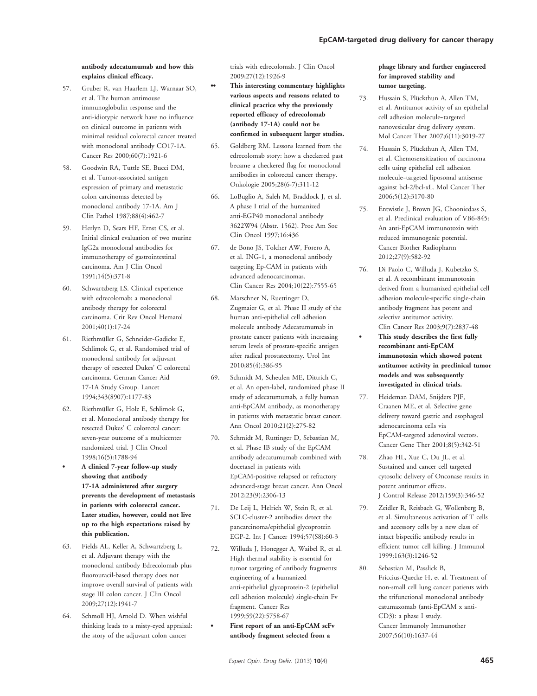#### antibody adecatumumab and how this explains clinical efficacy.

- 57. Gruber R, van Haarlem LJ, Warnaar SO, et al. The human antimouse immunoglobulin response and the anti-idiotypic network have no influence on clinical outcome in patients with minimal residual colorectal cancer treated with monoclonal antibody CO17-1A. Cancer Res 2000;60(7):1921-6
- 58. Goodwin RA, Tuttle SE, Bucci DM, et al. Tumor-associated antigen expression of primary and metastatic colon carcinomas detected by monoclonal antibody 17-1A. Am J Clin Pathol 1987;88(4):462-7
- 59. Herlyn D, Sears HF, Ernst CS, et al. Initial clinical evaluation of two murine IgG2a monoclonal antibodies for immunotherapy of gastrointestinal carcinoma. Am J Clin Oncol 1991;14(5):371-8
- 60. Schwartzberg LS. Clinical experience with edrecolomab: a monoclonal antibody therapy for colorectal carcinoma. Crit Rev Oncol Hematol 2001;40(1):17-24
- 61. Riethmüller G, Schneider-Gadicke E, Schlimok G, et al. Randomised trial of monoclonal antibody for adjuvant therapy of resected Dukes' C colorectal carcinoma. German Cancer Aid 17-1A Study Group. Lancet 1994;343(8907):1177-83
- 62. Riethmüller G, Holz E, Schlimok G, et al. Monoclonal antibody therapy for resected Dukes' C colorectal cancer: seven-year outcome of a multicenter randomized trial. J Clin Oncol 1998;16(5):1788-94
- . A clinical 7-year follow-up study showing that antibody 17-1A administered after surgery prevents the development of metastasis in patients with colorectal cancer. Later studies, however, could not live up to the high expectations raised by this publication.
- 63. Fields AL, Keller A, Schwartzberg L, et al. Adjuvant therapy with the monoclonal antibody Edrecolomab plus fluorouracil-based therapy does not improve overall survival of patients with stage III colon cancer. J Clin Oncol 2009;27(12):1941-7
- 64. Schmoll HJ, Arnold D. When wishful thinking leads to a misty-eyed appraisal: the story of the adjuvant colon cancer

trials with edrecolomab. J Clin Oncol 2009;27(12):1926-9

- This interesting commentary highlights various aspects and reasons related to clinical practice why the previously reported efficacy of edrecolomab (antibody 17-1A) could not be confirmed in subsequent larger studies.
- 65. Goldberg RM. Lessons learned from the edrecolomab story: how a checkered past became a checkered flag for monoclonal antibodies in colorectal cancer therapy. Onkologie 2005;28(6-7):311-12
- 66. LoBuglio A, Saleh M, Braddock J, et al. A phase I trial of the humanized anti-EGP40 monoclonal antibody 3622W94 (Abstr. 1562). Proc Am Soc Clin Oncol 1997;16:436
- 67. de Bono JS, Tolcher AW, Forero A, et al. ING-1, a monoclonal antibody targeting Ep-CAM in patients with advanced adenocarcinomas. Clin Cancer Res 2004;10(22):7555-65
- 68. Marschner N, Ruettinger D, Zugmaier G, et al. Phase II study of the human anti-epithelial cell adhesion molecule antibody Adecatumumab in prostate cancer patients with increasing serum levels of prostate-specific antigen after radical prostatectomy. Urol Int 2010;85(4):386-95
- 69. Schmidt M, Scheulen ME, Dittrich C, et al. An open-label, randomized phase II study of adecatumumab, a fully human anti-EpCAM antibody, as monotherapy in patients with metastatic breast cancer. Ann Oncol 2010;21(2):275-82
- 70. Schmidt M, Ruttinger D, Sebastian M, et al. Phase IB study of the EpCAM antibody adecatumumab combined with docetaxel in patients with EpCAM-positive relapsed or refractory advanced-stage breast cancer. Ann Oncol 2012;23(9):2306-13
- 71. De Leij L, Helrich W, Stein R, et al. SCLC-cluster-2 antibodies detect the pancarcinoma/epithelial glycoprotein EGP-2. Int J Cancer 1994;57(S8):60-3
- 72. Willuda J, Honegger A, Waibel R, et al. High thermal stability is essential for tumor targeting of antibody fragments: engineering of a humanized anti-epithelial glycoprotein-2 (epithelial cell adhesion molecule) single-chain Fv fragment. Cancer Res 1999;59(22):5758-67
	- . First report of an anti-EpCAM scFv antibody fragment selected from a

#### phage library and further engineered for improved stability and tumor targeting.

- 73. Hussain S, Plückthun A, Allen TM, et al. Antitumor activity of an epithelial cell adhesion molecule-targeted nanovesicular drug delivery system. Mol Cancer Ther 2007;6(11):3019-27
- 74. Hussain S, Plückthun A, Allen TM, et al. Chemosensitization of carcinoma cells using epithelial cell adhesion molecule--targeted liposomal antisense against bcl-2/bcl-xL. Mol Cancer Ther 2006;5(12):3170-80
- 75. Entwistle J, Brown JG, Chooniedass S, et al. Preclinical evaluation of VB6-845: An anti-EpCAM immunotoxin with reduced immunogenic potential. Cancer Biother Radiopharm 2012;27(9):582-92
- 76. Di Paolo C, Willuda J, Kubetzko S, et al. A recombinant immunotoxin derived from a humanized epithelial cell adhesion molecule-specific single-chain antibody fragment has potent and selective antitumor activity. Clin Cancer Res 2003;9(7):2837-48
- . This study describes the first fully recombinant anti-EpCAM immunotoxin which showed potent antitumor activity in preclinical tumor models and was subsequently investigated in clinical trials.
- 77. Heideman DAM, Snijders PJF, Craanen ME, et al. Selective gene delivery toward gastric and esophageal adenocarcinoma cells via EpCAM-targeted adenoviral vectors. Cancer Gene Ther 2001;8(5):342-51
- 78. Zhao HL, Xue C, Du JL, et al. Sustained and cancer cell targeted cytosolic delivery of Onconase results in potent antitumor effects. J Control Release 2012;159(3):346-52
- 79. Zeidler R, Reisbach G, Wollenberg B, et al. Simultaneous activation of T cells and accessory cells by a new class of intact bispecific antibody results in efficient tumor cell killing. J Immunol 1999;163(3):1246-52
- 80. Sebastian M, Passlick B, Friccius-Quecke H, et al. Treatment of non-small cell lung cancer patients with the trifunctional monoclonal antibody catumaxomab (anti-EpCAM x anti-CD3): a phase I study. Cancer Immunoly Immunother 2007;56(10):1637-44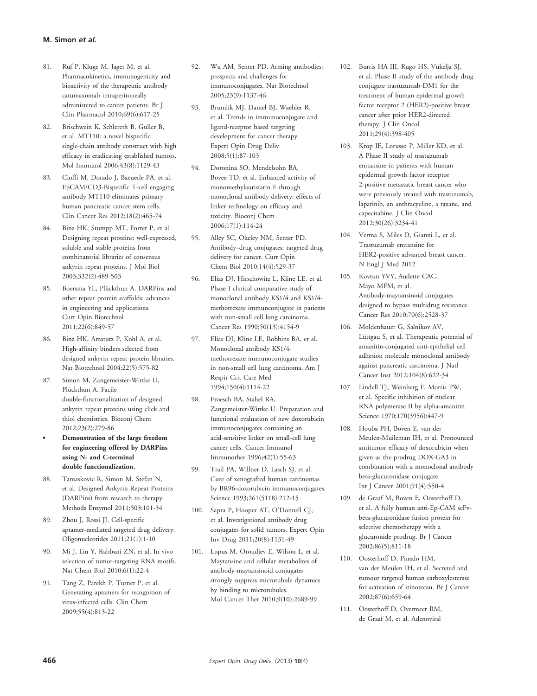- 81. Ruf P, Kluge M, Jager M, et al. Pharmacokinetics, immunogenicity and bioactivity of the therapeutic antibody catumaxomab intraperitoneally administered to cancer patients. Br J Clin Pharmacol 2010;69(6):617-25
- 82. Brischwein K, Schlereth B, Guller B, et al. MT110: a novel bispecific single-chain antibody construct with high efficacy in eradicating established tumors. Mol Immunol 2006;43(8):1129-43
- 83. Cioffi M, Dorado J, Baeuerle PA, et al. EpCAM/CD3-Bispecific T-cell engaging antibody MT110 eliminates primary human pancreatic cancer stem cells. Clin Cancer Res 2012;18(2):465-74
- 84. Binz HK, Stumpp MT, Forrer P, et al. Designing repeat proteins: well-expressed, soluble and stable proteins from combinatorial libraries of consensus ankyrin repeat proteins. J Mol Biol 2003;332(2):489-503
- 85. Boersma YL, Plückthun A. DARPins and other repeat protein scaffolds: advances in engineering and applications. Curr Opin Biotechnol 2011;22(6):849-57
- 86. Binz HK, Amstutz P, Kohl A, et al. High-affinity binders selected from designed ankyrin repeat protein libraries. Nat Biotechnol 2004;22(5):575-82
- 87. Simon M, Zangemeister-Wittke U, Plückthun A. Facile double-functionalization of designed ankyrin repeat proteins using click and thiol chemistries. Bioconj Chem 2012;23(2):279-86
- . Demonstration of the large freedom for engineering offered by DARPins using N- and C-terminal double functionalization.
- 88. Tamaskovic R, Simon M, Stefan N, et al. Designed Ankyrin Repeat Proteins (DARPins) from research to therapy. Methods Enzymol 2011;503:101-34
- 89. Zhou J, Rossi JJ. Cell-specific aptamer-mediated targeted drug delivery. Oligonucleotides 2011;21(1):1-10
- 90. Mi J, Liu Y, Rabbani ZN, et al. In vivo selection of tumor-targeting RNA motifs. Nat Chem Biol 2010;6(1):22-4
- 91. Tang Z, Parekh P, Turner P, et al. Generating aptamers for recognition of virus-infected cells. Clin Chem 2009;55(4):813-22
- 92. Wu AM, Senter PD. Arming antibodies: prospects and challenges for immunoconjugates. Nat Biotechnol 2005;23(9):1137-46
- 93. Brumlik MJ, Daniel BJ, Waehler R, et al. Trends in immunoconjugate and ligand-receptor based targeting development for cancer therapy. Expert Opin Drug Deliv 2008;5(1):87-103
- 94. Doronina SO, Mendelsohn BA, Bovee TD, et al. Enhanced activity of monomethylauristatin F through monoclonal antibody delivery: effects of linker technology on efficacy and toxicity. Bioconj Chem 2006;17(1):114-24
- 95. Alley SC, Okeley NM, Senter PD. Antibody-drug conjugates: targeted drug delivery for cancer. Curr Opin Chem Biol 2010;14(4):529-37
- 96. Elias DJ, Hirschowitz L, Kline LE, et al. Phase I clinical comparative study of monoclonal antibody KS1/4 and KS1/4 methotrexate immunconjugate in patients with non-small cell lung carcinoma. Cancer Res 1990;50(13):4154-9
- 97. Elias DJ, Kline LE, Robbins BA, et al. Monoclonal antibody KS1/4 methotrexate immunoconjugate studies in non-small cell lung carcinoma. Am J Respir Crit Care Med 1994;150(4):1114-22
- 98. Froesch BA, Stahel RA, Zangemeister-Wittke U. Preparation and functional evaluation of new doxorubicin immunoconjugates containing an acid-sensitive linker on small-cell lung cancer cells. Cancer Immunol Immunother 1996;42(1):55-63
- 99. Trail PA, Willner D, Lasch SJ, et al. Cure of xenografted human carcinomas by BR96-doxorubicin immunoconjugates. Science 1993;261(5118):212-15
- 100. Sapra P, Hooper AT, O'Donnell CJ, et al. Investigational antibody drug conjugates for solid tumors. Expert Opin Inv Drug 2011;20(8):1131-49
- 101. Lopus M, Oroudjev E, Wilson L, et al. Maytansine and cellular metabolites of antibody-maytansinoid conjugates strongly suppress microtubule dynamics by binding to microtubules. Mol Cancer Ther 2010;9(10):2689-99
- 102. Burris HA III, Rugo HS, Vukelja SJ, et al. Phase II study of the antibody drug conjugate trastuzumab-DM1 for the treatment of human epidermal growth factor receptor 2 (HER2)-positive breast cancer after prior HER2-directed therapy. J Clin Oncol 2011;29(4):398-405
- 103. Krop IE, Lorusso P, Miller KD, et al. A Phase II study of trastuzumab emtansine in patients with human epidermal growth factor receptor 2-positive metastatic breast cancer who were previously treated with trastuzumab, lapatinib, an anthracycline, a taxane, and capecitabine. J Clin Oncol 2012;30(26):3234-41
- 104. Verma S, Miles D, Gianni L, et al. Trastuzumab emtansine for HER2-positive advanced breast cancer. N Engl J Med 2012
- 105. Kovtun YVY, Audette CAC, Mayo MFM, et al. Antibody-maytansinoid conjugates designed to bypass multidrug resistance. Cancer Res 2010;70(6):2528-37
- 106. Moldenhauer G, Salnikov AV, Lüttgau S, et al. Therapeutic potential of amanitin-conjugated anti-epithelial cell adhesion molecule monoclonal antibody against pancreatic carcinoma. J Natl Cancer Inst 2012;104(8):622-34
- 107. Lindell TJ, Weinberg F, Morris PW, et al. Specific inhibition of nuclear RNA polymerase II by alpha-amanitin. Science 1970;170(3956):447-9
- 108. Houba PH, Boven E, van der Meulen-Muileman IH, et al. Pronounced antitumor efficacy of doxorubicin when given as the prodrug DOX-GA3 in combination with a monoclonal antibody beta-glucuronidase conjugate. Int J Cancer 2001;91(4):550-4
- 109. de Graaf M, Boven E, Oosterhoff D, et al. A fully human anti-Ep-CAM scFvbeta-glucuronidase fusion protein for selective chemotherapy with a glucuronide prodrug. Br J Cancer 2002;86(5):811-18
- 110. Oosterhoff D, Pinedo HM, van der Meulen IH, et al. Secreted and tumour targeted human carboxylesterase for activation of irinotecan. Br J Cancer 2002;87(6):659-64
- 111. Oosterhoff D, Overmeer RM, de Graaf M, et al. Adenoviral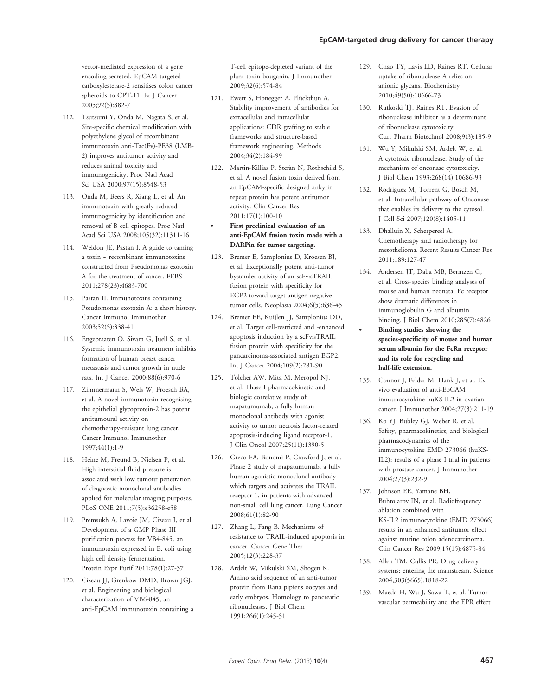vector-mediated expression of a gene encoding secreted, EpCAM-targeted carboxylesterase-2 sensitises colon cancer spheroids to CPT-11. Br J Cancer 2005;92(5):882-7

- 112. Tsutsumi Y, Onda M, Nagata S, et al. Site-specific chemical modification with polyethylene glycol of recombinant immunotoxin anti-Tac(Fv)-PE38 (LMB-2) improves antitumor activity and reduces animal toxicity and immunogenicity. Proc Natl Acad Sci USA 2000;97(15):8548-53
- 113. Onda M, Beers R, Xiang L, et al. An immunotoxin with greatly reduced immunogenicity by identification and removal of B cell epitopes. Proc Natl Acad Sci USA 2008;105(32):11311-16
- 114. Weldon JE, Pastan I. A guide to taming a toxin -- recombinant immunotoxins constructed from Pseudomonas exotoxin A for the treatment of cancer. FEBS 2011;278(23):4683-700
- 115. Pastan II. Immunotoxins containing Pseudomonas exotoxin A: a short history. Cancer Immunol Immunother 2003;52(5):338-41
- 116. Engebraaten O, Sivam G, Juell S, et al. Systemic immunotoxin treatment inhibits formation of human breast cancer metastasis and tumor growth in nude rats. Int J Cancer 2000;88(6):970-6
- 117. Zimmermann S, Wels W, Froesch BA, et al. A novel immunotoxin recognising the epithelial glycoprotein-2 has potent antitumoural activity on chemotherapy-resistant lung cancer. Cancer Immunol Immunother 1997;44(1):1-9
- 118. Heine M, Freund B, Nielsen P, et al. High interstitial fluid pressure is associated with low tumour penetration of diagnostic monoclonal antibodies applied for molecular imaging purposes. PLoS ONE 2011;7(5):e36258-e58
- 119. Premsukh A, Lavoie JM, Cizeau J, et al. Development of a GMP Phase III purification process for VB4-845, an immunotoxin expressed in E. coli using high cell density fermentation. Protein Expr Purif 2011;78(1):27-37
- 120. Cizeau JJ, Grenkow DMD, Brown JGJ, et al. Engineering and biological characterization of VB6-845, an anti-EpCAM immunotoxin containing a

T-cell epitope-depleted variant of the plant toxin bouganin. J Immunother 2009;32(6):574-84

- 121. Ewert S, Honegger A, Plückthun A. Stability improvement of antibodies for extracellular and intracellular applications: CDR grafting to stable frameworks and structure-based framework engineering. Methods 2004;34(2):184-99
- 122. Martin-Killias P, Stefan N, Rothschild S, et al. A novel fusion toxin derived from an EpCAM-specific designed ankyrin repeat protein has potent antitumor activity. Clin Cancer Res 2011;17(1):100-10
- . First preclinical evaluation of an anti-EpCAM fusion toxin made with a DARPin for tumor targeting.
- 123. Bremer E, Samplonius D, Kroesen BJ, et al. Exceptionally potent anti-tumor bystander activity of an scFv:sTRAIL fusion protein with specificity for EGP2 toward target antigen-negative tumor cells. Neoplasia 2004;6(5):636-45
- 124. Bremer EE, Kuijlen JJ, Samplonius DD, et al. Target cell-restricted and -enhanced apoptosis induction by a scFv:sTRAIL fusion protein with specificity for the pancarcinoma-associated antigen EGP2. Int J Cancer 2004;109(2):281-90
- 125. Tolcher AW, Mita M, Meropol NJ, et al. Phase I pharmacokinetic and biologic correlative study of mapatumumab, a fully human monoclonal antibody with agonist activity to tumor necrosis factor-related apoptosis-inducing ligand receptor-1. J Clin Oncol 2007;25(11):1390-5
- 126. Greco FA, Bonomi P, Crawford J, et al. Phase 2 study of mapatumumab, a fully human agonistic monoclonal antibody which targets and activates the TRAIL receptor-1, in patients with advanced non-small cell lung cancer. Lung Cancer 2008;61(1):82-90
- 127. Zhang L, Fang B. Mechanisms of resistance to TRAIL-induced apoptosis in cancer. Cancer Gene Ther 2005;12(3):228-37
- 128. Ardelt W, Mikulski SM, Shogen K. Amino acid sequence of an anti-tumor protein from Rana pipiens oocytes and early embryos. Homology to pancreatic ribonucleases. J Biol Chem 1991;266(1):245-51
- 129. Chao TY, Lavis LD, Raines RT. Cellular uptake of ribonuclease A relies on anionic glycans. Biochemistry 2010;49(50):10666-73
- 130. Rutkoski TJ, Raines RT. Evasion of ribonuclease inhibitor as a determinant of ribonuclease cytotoxicity. Curr Pharm Biotechnol 2008;9(3):185-9
- 131. Wu Y, Mikulski SM, Ardelt W, et al. A cytotoxic ribonuclease. Study of the mechanism of onconase cytotoxicity. J Biol Chem 1993;268(14):10686-93
- 132. Rodríguez M, Torrent G, Bosch M, et al. Intracellular pathway of Onconase that enables its delivery to the cytosol. J Cell Sci 2007;120(8):1405-11
- 133. Dhalluin X, Scherpereel A. Chemotherapy and radiotherapy for mesothelioma. Recent Results Cancer Res 2011;189:127-47
- 134. Andersen JT, Daba MB, Berntzen G, et al. Cross-species binding analyses of mouse and human neonatal Fc receptor show dramatic differences in immunoglobulin G and albumin binding. J Biol Chem 2010;285(7):4826
- . Binding studies showing the species-specificity of mouse and human serum albumin for the FcRn receptor and its role for recycling and half-life extension.
- 135. Connor J, Felder M, Hank J, et al. Ex vivo evaluation of anti-EpCAM immunocytokine huKS-IL2 in ovarian cancer. J Immunother 2004;27(3):211-19
- 136. Ko YJ, Bubley GJ, Weber R, et al. Safety, pharmacokinetics, and biological pharmacodynamics of the immunocytokine EMD 273066 (huKS-IL2): results of a phase I trial in patients with prostate cancer. J Immunother 2004;27(3):232-9
- 137. Johnson EE, Yamane BH, Buhtoiarov IN, et al. Radiofrequency ablation combined with KS-IL2 immunocytokine (EMD 273066) results in an enhanced antitumor effect against murine colon adenocarcinoma. Clin Cancer Res 2009;15(15):4875-84
- 138. Allen TM, Cullis PR. Drug delivery systems: entering the mainstream. Science 2004;303(5665):1818-22
- 139. Maeda H, Wu J, Sawa T, et al. Tumor vascular permeability and the EPR effect